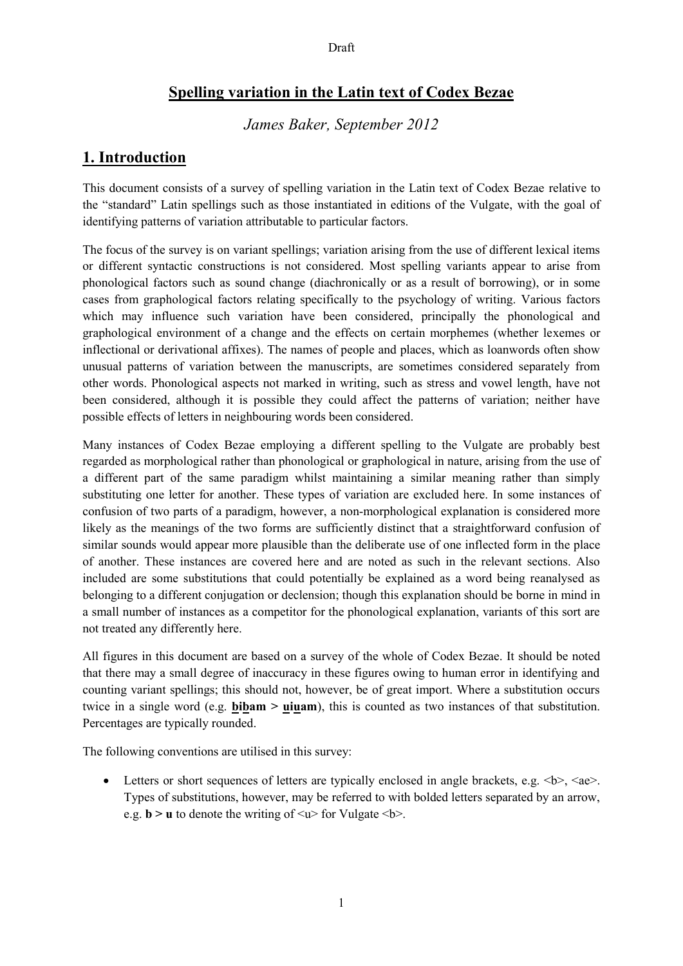# **Spelling variation in the Latin text of Codex Bezae**

*James Baker, September 2012*

# **1. Introduction**

This document consists of a survey of spelling variation in the Latin text of Codex Bezae relative to the "standard" Latin spellings such as those instantiated in editions of the Vulgate, with the goal of identifying patterns of variation attributable to particular factors.

The focus of the survey is on variant spellings; variation arising from the use of different lexical items or different syntactic constructions is not considered. Most spelling variants appear to arise from phonological factors such as sound change (diachronically or as a result of borrowing), or in some cases from graphological factors relating specifically to the psychology of writing. Various factors which may influence such variation have been considered, principally the phonological and graphological environment of a change and the effects on certain morphemes (whether lexemes or inflectional or derivational affixes). The names of people and places, which as loanwords often show unusual patterns of variation between the manuscripts, are sometimes considered separately from other words. Phonological aspects not marked in writing, such as stress and vowel length, have not been considered, although it is possible they could affect the patterns of variation; neither have possible effects of letters in neighbouring words been considered.

Many instances of Codex Bezae employing a different spelling to the Vulgate are probably best regarded as morphological rather than phonological or graphological in nature, arising from the use of a different part of the same paradigm whilst maintaining a similar meaning rather than simply substituting one letter for another. These types of variation are excluded here. In some instances of confusion of two parts of a paradigm, however, a non-morphological explanation is considered more likely as the meanings of the two forms are sufficiently distinct that a straightforward confusion of similar sounds would appear more plausible than the deliberate use of one inflected form in the place of another. These instances are covered here and are noted as such in the relevant sections. Also included are some substitutions that could potentially be explained as a word being reanalysed as belonging to a different conjugation or declension; though this explanation should be borne in mind in a small number of instances as a competitor for the phonological explanation, variants of this sort are not treated any differently here.

All figures in this document are based on a survey of the whole of Codex Bezae. It should be noted that there may a small degree of inaccuracy in these figures owing to human error in identifying and counting variant spellings; this should not, however, be of great import. Where a substitution occurs twice in a single word (e.g. **bibam > uiuam**), this is counted as two instances of that substitution. Percentages are typically rounded.

The following conventions are utilised in this survey:

• Letters or short sequences of letters are typically enclosed in angle brackets, e.g.  $\langle b \rangle$ ,  $\langle ae \rangle$ . Types of substitutions, however, may be referred to with bolded letters separated by an arrow, e.g.  $\mathbf{b} > \mathbf{u}$  to denote the writing of  $\leq \mathbf{u}$  for Vulgate  $\leq \mathbf{b}$ .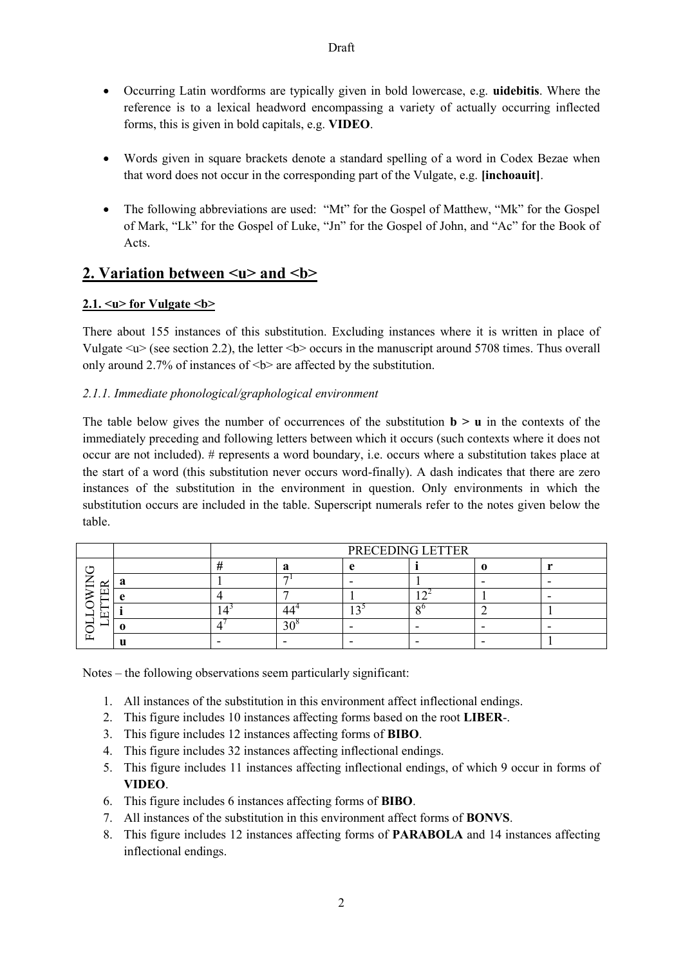- Occurring Latin wordforms are typically given in bold lowercase, e.g. **uidebitis**. Where the reference is to a lexical headword encompassing a variety of actually occurring inflected forms, this is given in bold capitals, e.g. **VIDEO**.
- Words given in square brackets denote a standard spelling of a word in Codex Bezae when that word does not occur in the corresponding part of the Vulgate, e.g. **[inchoauit]**.
- The following abbreviations are used: "Mt" for the Gospel of Matthew, "Mk" for the Gospel of Mark, "Lk" for the Gospel of Luke, "Jn" for the Gospel of John, and "Ac" for the Book of Acts.

# 2. Variation between</u>  $\langle u \rangle$  and  $\langle b \rangle$

# 2.1.  $\leq u$  for Vulgate  $\leq b$  >

There about 155 instances of this substitution. Excluding instances where it is written in place of Vulgate  $\leq \nu$  (see section 2.2), the letter  $\leq b$  occurs in the manuscript around 5708 times. Thus overall only around 2.7% of instances of  $\leq b$  are affected by the substitution.

# *2.1.1. Immediate phonological/graphological environment*

The table below gives the number of occurrences of the substitution  $\mathbf{b} > \mathbf{u}$  in the contexts of the immediately preceding and following letters between which it occurs (such contexts where it does not occur are not included). # represents a word boundary, i.e. occurs where a substitution takes place at the start of a word (this substitution never occurs word-finally). A dash indicates that there are zero instances of the substitution in the environment in question. Only environments in which the substitution occurs are included in the table. Superscript numerals refer to the notes given below the table.

|   | PRECEDING LETTER |   |  |  |  |  |  |
|---|------------------|---|--|--|--|--|--|
|   |                  |   |  |  |  |  |  |
| ⊻ |                  | - |  |  |  |  |  |
|   |                  |   |  |  |  |  |  |
|   |                  |   |  |  |  |  |  |
|   |                  |   |  |  |  |  |  |
|   |                  |   |  |  |  |  |  |

Notes – the following observations seem particularly significant:

- 1. All instances of the substitution in this environment affect inflectional endings.
- 2. This figure includes 10 instances affecting forms based on the root **LIBER**-.
- 3. This figure includes 12 instances affecting forms of **BIBO**.
- 4. This figure includes 32 instances affecting inflectional endings.
- 5. This figure includes 11 instances affecting inflectional endings, of which 9 occur in forms of **VIDEO**.
- 6. This figure includes 6 instances affecting forms of **BIBO**.
- 7. All instances of the substitution in this environment affect forms of **BONVS**.
- 8. This figure includes 12 instances affecting forms of **PARABOLA** and 14 instances affecting inflectional endings.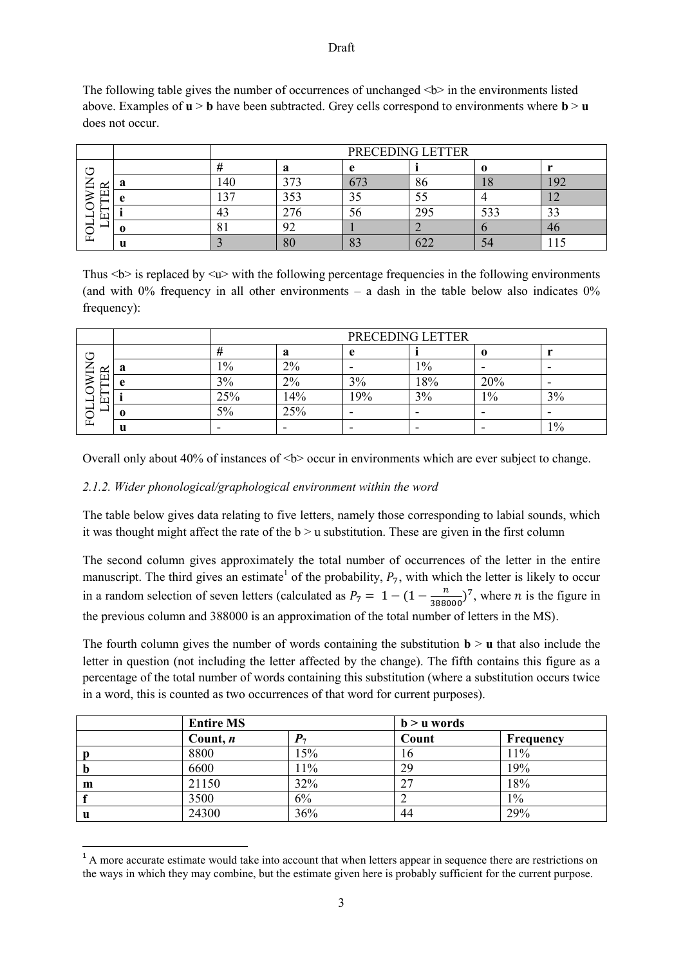The following table gives the number of occurrences of unchanged  $\langle b \rangle$  in the environments listed above. Examples of **u** > **b** have been subtracted. Grey cells correspond to environments where **b** > **u**  does not occur.

|              |   | PRECEDING LETTER |                      |                    |            |        |    |  |
|--------------|---|------------------|----------------------|--------------------|------------|--------|----|--|
| ∼ ⊨          |   |                  |                      |                    |            |        |    |  |
| ≃<br>∍       |   | .40              | $\sim$ $\sim$ $\sim$ |                    | 86         | $\sim$ |    |  |
|              |   | $\mathcal{L}$    | 353                  | ں ر                |            |        | -- |  |
| <u>—</u>     |   | 43               | 270                  | ЭO                 | 29.        | 533    |    |  |
| -            |   | O.               | ∠                    |                    |            |        |    |  |
| $\mathbf{L}$ | u |                  | οU                   | מר<br>$\mathbf{C}$ | $\sqrt{2}$ |        |    |  |

Thus  $\langle b \rangle$  is replaced by  $\langle u \rangle$  with the following percentage frequencies in the following environments (and with  $0\%$  frequency in all other environments – a dash in the table below also indicates  $0\%$ frequency):

|             |   | PRECEDING LETTER |     |     |       |       |       |  |
|-------------|---|------------------|-----|-----|-------|-------|-------|--|
| ↺           |   |                  | a   | A   |       |       |       |  |
| ≃<br>∽<br>- |   | 10/0             | 2%  | -   | $1\%$ | -     | -     |  |
|             |   | 3%               | 2%  | 3%  | 18%   | 20%   | -     |  |
| r÷.         |   | 25%              | 14% | 19% | 3%    | $1\%$ | 3%    |  |
| -<br>∽      |   | 5%               | 25% |     |       |       |       |  |
| 匞           | u |                  |     | -   |       |       | $1\%$ |  |

Overall only about 40% of instances of <b> occur in environments which are ever subject to change.

## *2.1.2. Wider phonological/graphological environment within the word*

1

The table below gives data relating to five letters, namely those corresponding to labial sounds, which it was thought might affect the rate of the  $b > u$  substitution. These are given in the first column

The second column gives approximately the total number of occurrences of the letter in the entire manuscript. The third gives an estimate<sup>1</sup> of the probability,  $P_7$ , with which the letter is likely to occur in a random selection of seven letters (calculated as  $P_7 = 1 - (1 - \frac{n}{2000})$  $\frac{n}{388000}$ , where *n* is the figure in the previous column and 388000 is an approximation of the total number of letters in the MS).

The fourth column gives the number of words containing the substitution  $\mathbf{b} > \mathbf{u}$  that also include the letter in question (not including the letter affected by the change). The fifth contains this figure as a percentage of the total number of words containing this substitution (where a substitution occurs twice in a word, this is counted as two occurrences of that word for current purposes).

|             | <b>Entire MS</b> |     | $b > u$ words |                  |
|-------------|------------------|-----|---------------|------------------|
|             | Count, $n$       |     | Count         | <b>Frequency</b> |
|             | 8800             | 15% | 16            | 11%              |
| $\mathbf b$ | 6600             | 11% | 29            | 19%              |
| m           | 21150            | 32% | 27            | 18%              |
|             | 3500             | 6%  |               | $1\%$            |
| u           | 24300            | 36% | 44            | 29%              |

<sup>&</sup>lt;sup>1</sup> A more accurate estimate would take into account that when letters appear in sequence there are restrictions on the ways in which they may combine, but the estimate given here is probably sufficient for the current purpose.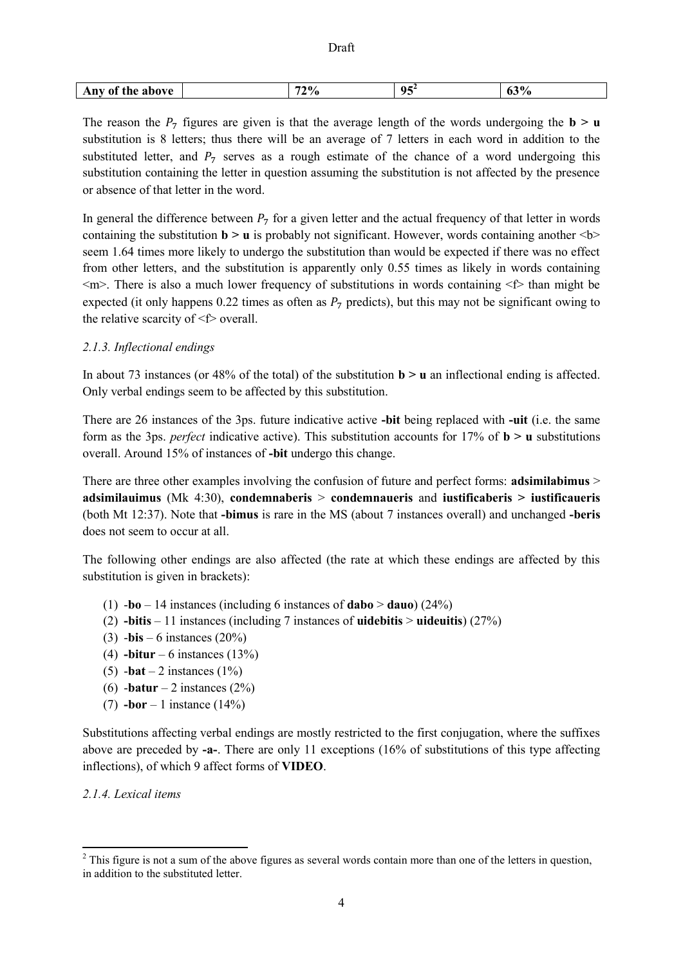| 05 <sup>2</sup><br>200<br>770<br>the<br>Anv<br>above<br>0Ī<br>70<br>70<br>vJ<br>۰.<br>. . |  |
|-------------------------------------------------------------------------------------------|--|
|-------------------------------------------------------------------------------------------|--|

The reason the  $P_7$  figures are given is that the average length of the words undergoing the  $\bf{b}$  >  $\bf{u}$ substitution is 8 letters; thus there will be an average of 7 letters in each word in addition to the substituted letter, and  $P_7$  serves as a rough estimate of the chance of a word undergoing this substitution containing the letter in question assuming the substitution is not affected by the presence or absence of that letter in the word.

In general the difference between  $P_7$  for a given letter and the actual frequency of that letter in words containing the substitution  $\mathbf{b} > \mathbf{u}$  is probably not significant. However, words containing another  $\langle \mathbf{b} \rangle$ seem 1.64 times more likely to undergo the substitution than would be expected if there was no effect from other letters, and the substitution is apparently only 0.55 times as likely in words containing  $\leq m$ . There is also a much lower frequency of substitutions in words containing  $\leq f$  than might be expected (it only happens 0.22 times as often as  $P_7$  predicts), but this may not be significant owing to the relative scarcity of  $\leq f$  overall.

# *2.1.3. Inflectional endings*

In about 73 instances (or 48% of the total) of the substitution  $\mathbf{b} > \mathbf{u}$  an inflectional ending is affected. Only verbal endings seem to be affected by this substitution.

There are 26 instances of the 3ps. future indicative active **-bit** being replaced with **-uit** (i.e. the same form as the 3ps. *perfect* indicative active). This substitution accounts for 17% of  $\mathbf{b} > \mathbf{u}$  substitutions overall. Around 15% of instances of **-bit** undergo this change.

There are three other examples involving the confusion of future and perfect forms: **adsimilabimus** > **adsimilauimus** (Mk 4:30), **condemnaberis** > **condemnaueris** and **iustificaberis > iustificaueris**  (both Mt 12:37). Note that **-bimus** is rare in the MS (about 7 instances overall) and unchanged **-beris**  does not seem to occur at all.

The following other endings are also affected (the rate at which these endings are affected by this substitution is given in brackets):

- (1) -**bo**  14 instances (including 6 instances of **dabo** > **dauo**) (24%)
- (2) **-bitis**  11 instances (including 7 instances of **uidebitis** > **uideuitis**) (27%)
- (3) -**bis**  6 instances (20%)
- (4) **-bitur**  6 instances (13%)
- (5)  $-bat 2$  instances (1%)
- (6) -**batur**  2 instances (2%)
- (7) **-bor**  1 instance (14%)

Substitutions affecting verbal endings are mostly restricted to the first conjugation, where the suffixes above are preceded by **-a-**. There are only 11 exceptions (16% of substitutions of this type affecting inflections), of which 9 affect forms of **VIDEO**.

*2.1.4. Lexical items*

1

<sup>&</sup>lt;sup>2</sup> This figure is not a sum of the above figures as several words contain more than one of the letters in question, in addition to the substituted letter.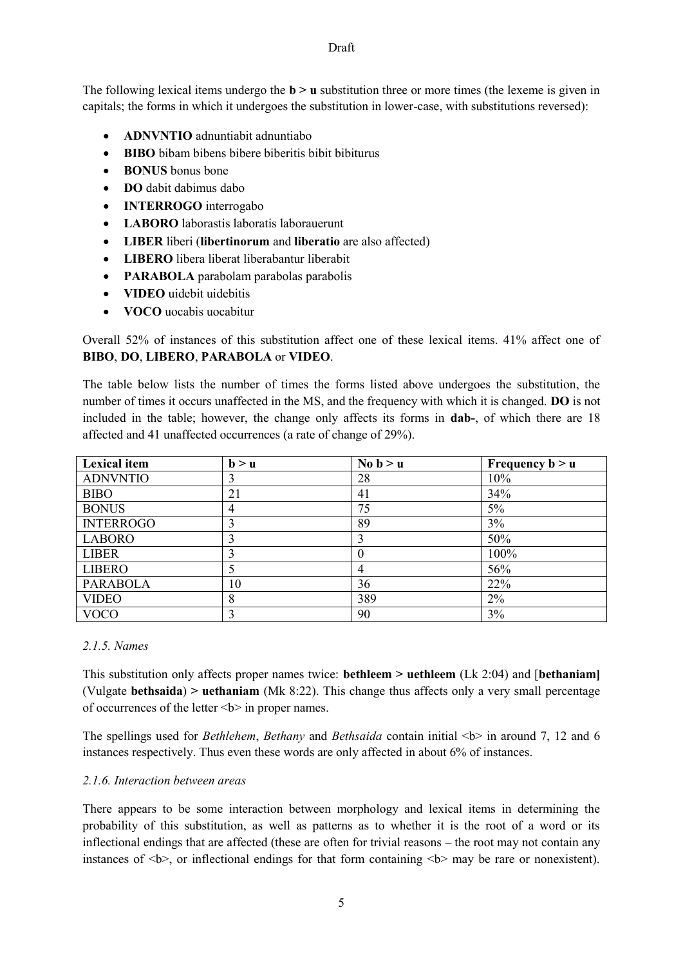The following lexical items undergo the **b** > **u** substitution three or more times (the lexeme is given in capitals; the forms in which it undergoes the substitution in lower-case, with substitutions reversed):

- **ADNVNTIO** adnuntiabit adnuntiabo
- **BIBO** bibam bibens bibere biberitis bibit bibiturus
- **BONUS** bonus bone
- **DO** dabit dabimus dabo
- **INTERROGO** interrogabo
- **LABORO** laborastis laboratis laborauerunt
- **LIBER** liberi (**libertinorum** and **liberatio** are also affected)
- **LIBERO** libera liberat liberabantur liberabit
- **PARABOLA** parabolam parabolas parabolis
- **VIDEO** uidebit uidebitis
- **VOCO** uocabis uocabitur

Overall 52% of instances of this substitution affect one of these lexical items. 41% affect one of **BIBO**, **DO**, **LIBERO**, **PARABOLA** or **VIDEO**.

The table below lists the number of times the forms listed above undergoes the substitution, the number of times it occurs unaffected in the MS, and the frequency with which it is changed. **DO** is not included in the table; however, the change only affects its forms in **dab-**, of which there are 18 affected and 41 unaffected occurrences (a rate of change of 29%).

| <b>Lexical item</b> | b > u | No $b > u$ | Frequency $b > u$ |
|---------------------|-------|------------|-------------------|
| <b>ADNVNTIO</b>     |       | 28         | 10%               |
| <b>BIBO</b>         | 21    | 41         | 34%               |
| <b>BONUS</b>        | 4     | 75         | 5%                |
| <b>INTERROGO</b>    |       | 89         | 3%                |
| <b>LABORO</b>       |       |            | 50%               |
| <b>LIBER</b>        |       |            | 100%              |
| <b>LIBERO</b>       |       | 4          | 56%               |
| <b>PARABOLA</b>     | 10    | 36         | 22%               |
| <b>VIDEO</b>        |       | 389        | 2%                |
| <b>VOCO</b>         |       | 90         | 3%                |

#### *2.1.5. Names*

This substitution only affects proper names twice: **bethleem > uethleem** (Lk 2:04) and [**bethaniam]**  (Vulgate **bethsaida**) **> uethaniam** (Mk 8:22). This change thus affects only a very small percentage of occurrences of the letter  **in proper names.** 

The spellings used for *Bethlehem*, *Bethany* and *Bethsaida* contain initial <b> in around 7, 12 and 6 instances respectively. Thus even these words are only affected in about 6% of instances.

#### *2.1.6. Interaction between areas*

There appears to be some interaction between morphology and lexical items in determining the probability of this substitution, as well as patterns as to whether it is the root of a word or its inflectional endings that are affected (these are often for trivial reasons – the root may not contain any instances of  $\langle b \rangle$ , or inflectional endings for that form containing  $\langle b \rangle$  may be rare or nonexistent).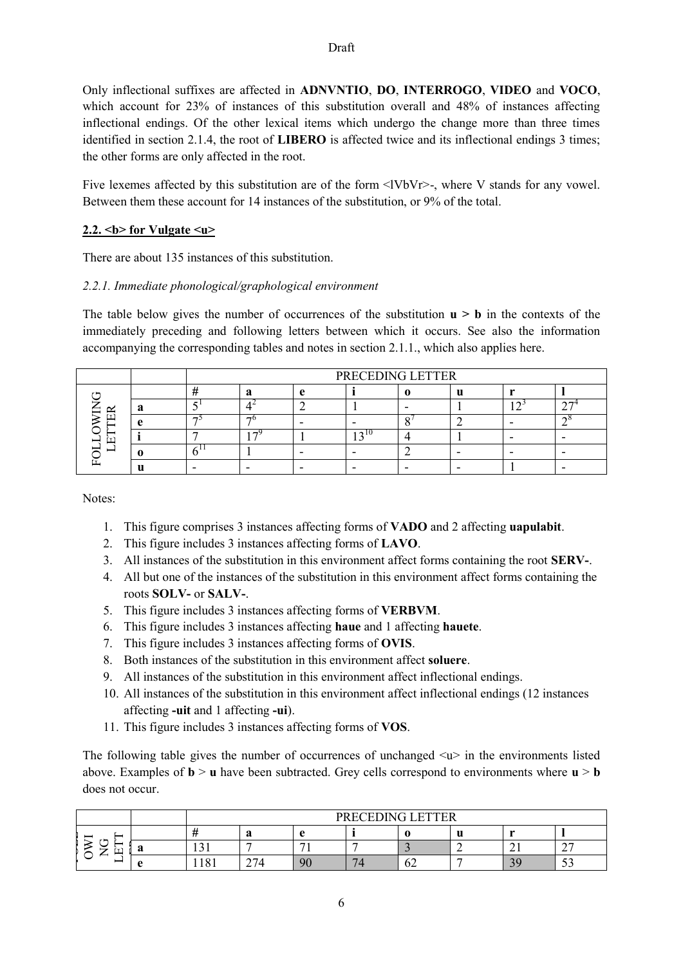Only inflectional suffixes are affected in **ADNVNTIO**, **DO**, **INTERROGO**, **VIDEO** and **VOCO**, which account for 23% of instances of this substitution overall and 48% of instances affecting inflectional endings. Of the other lexical items which undergo the change more than three times identified in section 2.1.4, the root of **LIBERO** is affected twice and its inflectional endings 3 times; the other forms are only affected in the root.

Five lexemes affected by this substitution are of the form  $\langle$ IVbVr>-, where V stands for any vowel. Between them these account for 14 instances of the substitution, or 9% of the total.

## 2.2.  **for Vulgate**  $**4**$

There are about 135 instances of this substitution.

#### *2.2.1. Immediate phonological/graphological environment*

The table below gives the number of occurrences of the substitution  $\mathbf{u} > \mathbf{b}$  in the contexts of the immediately preceding and following letters between which it occurs. See also the information accompanying the corresponding tables and notes in section 2.1.1., which also applies here.

|  |  | PRECEDING LETTER |  |  |  |  |  |  |  |  |
|--|--|------------------|--|--|--|--|--|--|--|--|
|  |  |                  |  |  |  |  |  |  |  |  |
|  |  |                  |  |  |  |  |  |  |  |  |
|  |  | −                |  |  |  |  |  |  |  |  |
|  |  |                  |  |  |  |  |  |  |  |  |
|  |  |                  |  |  |  |  |  |  |  |  |
|  |  |                  |  |  |  |  |  |  |  |  |

Notes:

- 1. This figure comprises 3 instances affecting forms of **VADO** and 2 affecting **uapulabit**.
- 2. This figure includes 3 instances affecting forms of **LAVO**.
- 3. All instances of the substitution in this environment affect forms containing the root **SERV-**.
- 4. All but one of the instances of the substitution in this environment affect forms containing the roots **SOLV-** or **SALV-**.
- 5. This figure includes 3 instances affecting forms of **VERBVM**.
- 6. This figure includes 3 instances affecting **haue** and 1 affecting **hauete**.
- 7. This figure includes 3 instances affecting forms of **OVIS**.
- 8. Both instances of the substitution in this environment affect **soluere**.
- 9. All instances of the substitution in this environment affect inflectional endings.
- 10. All instances of the substitution in this environment affect inflectional endings (12 instances affecting **-uit** and 1 affecting **-ui**).
- 11. This figure includes 3 instances affecting forms of **VOS**.

The following table gives the number of occurrences of unchanged  $\langle u \rangle$  in the environments listed above. Examples of  $\mathbf{b} > \mathbf{u}$  have been subtracted. Grey cells correspond to environments where  $\mathbf{u} > \mathbf{b}$ does not occur.

|                   |           |               | <b>PRECEDING I</b><br><b>LETTER</b> |                |                      |    |        |                                |                    |  |
|-------------------|-----------|---------------|-------------------------------------|----------------|----------------------|----|--------|--------------------------------|--------------------|--|
| _                 |           |               | ு<br>а                              |                |                      |    | п<br>u |                                |                    |  |
| $\mathbf{r}$<br>- | -6        | ◠<br>1 J 1    |                                     | $\sim$         |                      |    |        | $\sim$ 1                       | $\sim$ $\sim$<br>∼ |  |
| _                 | $\bullet$ | 1 O 1<br>1101 | $\sim$                              | 9 <sup>o</sup> | $\overline{ }$<br>14 | ∪∠ |        | 30<br>$\overline{\phantom{a}}$ | $\sim$<br>ັ        |  |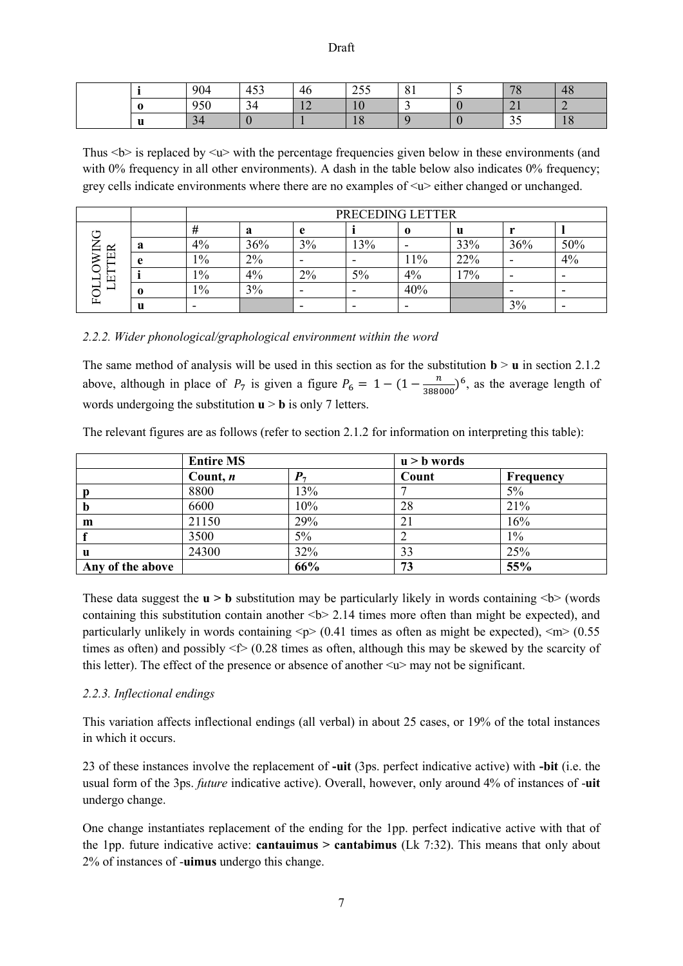|       | 904        | $-2$<br>40S | 46                               | 255<br>ں رے          | $\Omega$ 1<br>$^{\circ}$ 0 $^{\circ}$ | 70<br>$\sim$ | 48                   |
|-------|------------|-------------|----------------------------------|----------------------|---------------------------------------|--------------|----------------------|
|       | 050<br>'JU | 34          | 1 <sup>2</sup><br>$\overline{1}$ | 10                   |                                       | 4 L          |                      |
| $- -$ | 34         |             |                                  | 1 <sub>O</sub><br>10 |                                       | ر ر          | $\overline{O}$<br>10 |

Thus  $\langle b \rangle$  is replaced by  $\langle w \rangle$  with the percentage frequencies given below in these environments (and with 0% frequency in all other environments). A dash in the table below also indicates 0% frequency; grey cells indicate environments where there are no examples of  $\langle u \rangle$  either changed or unchanged.

|                                                 |           |        | PRECEDING LETTER |                          |     |                          |     |     |     |  |  |
|-------------------------------------------------|-----------|--------|------------------|--------------------------|-----|--------------------------|-----|-----|-----|--|--|
| $\mathbf{r}$ $\mathbf{r}$                       |           | π      | a                | e                        |     | $\bf{0}$                 | u   |     |     |  |  |
| $\mathbb{R}$<br>┷<br>-<br>$\boxed{\phantom{1}}$ | a         | 4%     | 36%              | 3%                       | 13% | $\overline{\phantom{0}}$ | 33% | 36% | 50% |  |  |
|                                                 | $\bullet$ | $1\%$  | 2%               | $\overline{\phantom{0}}$ |     | $1\%$                    | 22% |     | 4%  |  |  |
|                                                 |           | $1\%$  | 4%               | 2%                       | 5%  | 4%                       | 17% |     |     |  |  |
| _<br>≻                                          |           | $1\%$  | 3%               | -                        | -   | 40%                      |     | -   |     |  |  |
| L.                                              | u         | $\sim$ |                  |                          | -   | $\overline{\phantom{0}}$ |     | 3%  |     |  |  |

*2.2.2. Wider phonological/graphological environment within the word*

The same method of analysis will be used in this section as for the substitution  $\mathbf{b} > \mathbf{u}$  in section 2.1.2 above, although in place of  $P_7$  is given a figure  $P_6 = 1 - (1 - \frac{n}{2000})$  $\frac{n}{388000}$ <sup>6</sup>, as the average length of words undergoing the substitution  $\mathbf{u} > \mathbf{b}$  is only 7 letters.

| The relevant figures are as follows (refer to section 2.1.2 for information on interpreting this table): |  |
|----------------------------------------------------------------------------------------------------------|--|
|                                                                                                          |  |
|                                                                                                          |  |
|                                                                                                          |  |

|                  | <b>Entire MS</b> |            | $u > b$ words |           |
|------------------|------------------|------------|---------------|-----------|
|                  | Count, $n$       | $P_{\tau}$ | Count         | Frequency |
|                  | 8800             | 13%        |               | 5%        |
| $\mathbf b$      | 6600             | 10%        | 28            | 21%       |
| m                | 21150            | 29%        | 21            | 16%       |
|                  | 3500             | 5%         |               | $1\%$     |
| $\mathbf u$      | 24300            | 32%        | 33            | 25%       |
| Any of the above |                  | 66%        | 73            | 55%       |

These data suggest the  $\mathbf{u} > \mathbf{b}$  substitution may be particularly likely in words containing  $\langle \mathbf{b} \rangle$  (words containing this substitution contain another  **times more often than might be expected), and** particularly unlikely in words containing  $\langle p \rangle$  (0.41 times as often as might be expected),  $\langle m \rangle$  (0.55 times as often) and possibly  $\leq$  (0.28 times as often, although this may be skewed by the scarcity of this letter)</u>. The effect of the presence or absence of another  $\langle u \rangle$  may not be significant.

## *2.2.3. Inflectional endings*

This variation affects inflectional endings (all verbal) in about 25 cases, or 19% of the total instances in which it occurs.

23 of these instances involve the replacement of **-uit** (3ps. perfect indicative active) with **-bit** (i.e. the usual form of the 3ps. *future* indicative active). Overall, however, only around 4% of instances of -**uit**  undergo change.

One change instantiates replacement of the ending for the 1pp. perfect indicative active with that of the 1pp. future indicative active: **cantauimus > cantabimus** (Lk 7:32). This means that only about 2% of instances of -**uimus** undergo this change.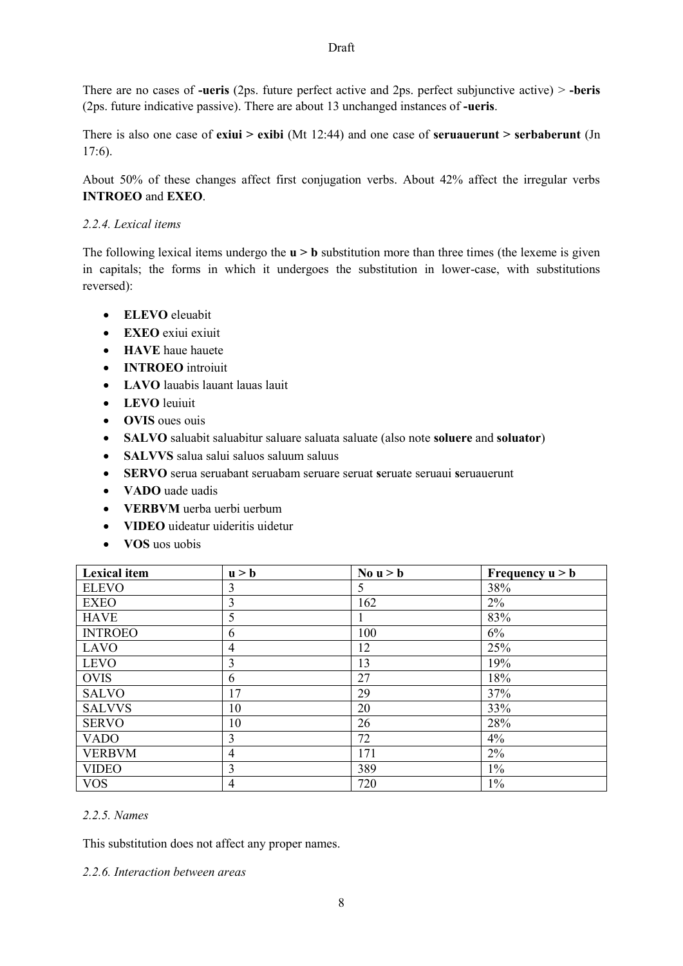There are no cases of **-ueris** (2ps. future perfect active and 2ps. perfect subjunctive active) > **-beris**  (2ps. future indicative passive). There are about 13 unchanged instances of **-ueris**.

There is also one case of **exiui > exibi** (Mt 12:44) and one case of **seruauerunt > serbaberunt** (Jn 17:6).

About 50% of these changes affect first conjugation verbs. About 42% affect the irregular verbs **INTROEO** and **EXEO**.

## *2.2.4. Lexical items*

The following lexical items undergo the **u** > **b** substitution more than three times (the lexeme is given in capitals; the forms in which it undergoes the substitution in lower-case, with substitutions reversed):

- **ELEVO** eleuabit
- **EXEO** exiui exiuit
- **HAVE** haue hauete
- **INTROEO** introiuit
- **LAVO** lauabis lauant lauas lauit
- **LEVO** leuiuit
- **OVIS** oues ouis
- **SALVO** saluabit saluabitur saluare saluata saluate (also note **soluere** and **soluator**)
- **SALVVS** salua salui saluos saluum saluus
- **SERVO** serua seruabant seruabam seruare seruat **s**eruate seruaui **s**eruauerunt
- **VADO** uade uadis
- **VERBVM** uerba uerbi uerbum
- **VIDEO** uideatur uideritis uidetur
- **VOS** uos uobis

| <b>Lexical</b> item | u > b          | No $u > b$ | Frequency $u > b$ |
|---------------------|----------------|------------|-------------------|
| <b>ELEVO</b>        | 3              | 5          | 38%               |
| <b>EXEO</b>         | $\overline{3}$ | 162        | 2%                |
| <b>HAVE</b>         | 5              |            | 83%               |
| <b>INTROEO</b>      | 6              | 100        | $6\%$             |
| <b>LAVO</b>         | 4              | 12         | 25%               |
| <b>LEVO</b>         | 3              | 13         | 19%               |
| <b>OVIS</b>         | 6              | 27         | 18%               |
| <b>SALVO</b>        | 17             | 29         | 37%               |
| <b>SALVVS</b>       | 10             | 20         | 33%               |
| <b>SERVO</b>        | 10             | 26         | 28%               |
| <b>VADO</b>         | $\overline{3}$ | 72         | 4%                |
| <b>VERBVM</b>       | $\overline{4}$ | 171        | $2\%$             |
| <b>VIDEO</b>        | 3              | 389        | $1\%$             |
| <b>VOS</b>          | 4              | 720        | $1\%$             |

## *2.2.5. Names*

This substitution does not affect any proper names.

#### *2.2.6. Interaction between areas*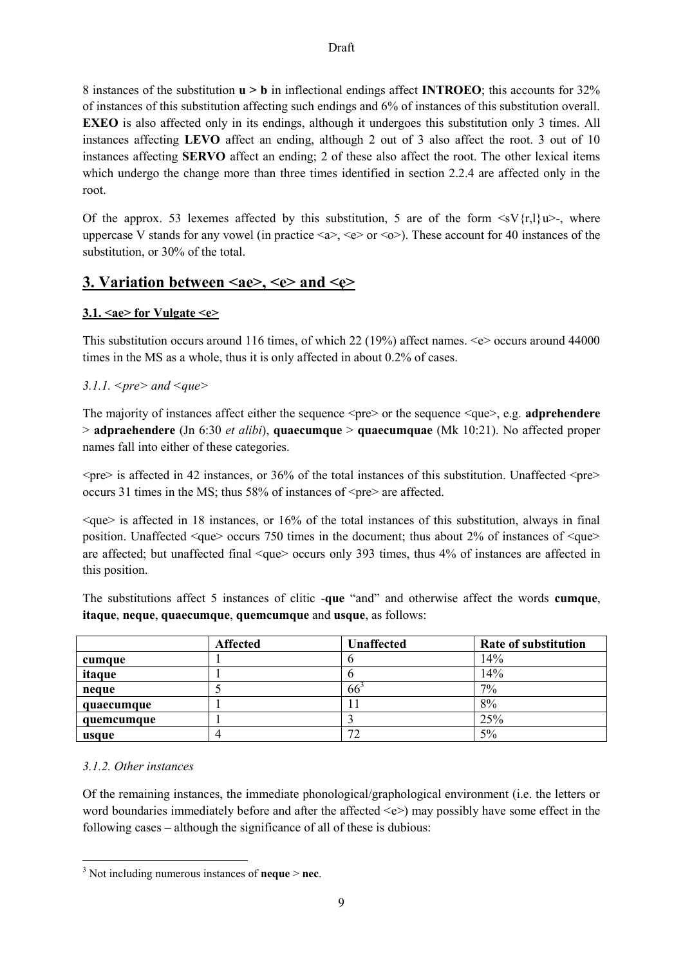8 instances of the substitution **u > b** in inflectional endings affect **INTROEO**; this accounts for 32% of instances of this substitution affecting such endings and 6% of instances of this substitution overall. **EXEO** is also affected only in its endings, although it undergoes this substitution only 3 times. All instances affecting **LEVO** affect an ending, although 2 out of 3 also affect the root. 3 out of 10 instances affecting **SERVO** affect an ending; 2 of these also affect the root. The other lexical items which undergo the change more than three times identified in section 2.2.4 are affected only in the root.

Of the approx. 53 lexemes affected by this substitution, 5 are of the form  $\langle sV(r,1)u\rangle$ -, where uppercase V stands for any vowel (in practice  $\langle a \rangle$ ,  $\langle e \rangle$  or  $\langle o \rangle$ ). These account for 40 instances of the substitution, or 30% of the total.

# **3. Variation between <ae>, <e> and <e>**

# **3.1. <ae> for Vulgate <e>**

This substitution occurs around 116 times, of which 22 (19%) affect names.  $\leq e$  occurs around 44000 times in the MS as a whole, thus it is only affected in about 0.2% of cases.

# *3.1.1. <pre> and <que>*

The majority of instances affect either the sequence  $\langle pre \rangle$  or the sequence  $\langle que \rangle$ , e.g. **adprehendere** > **adpraehendere** (Jn 6:30 *et alibi*), **quaecumque** > **quaecumquae** (Mk 10:21). No affected proper names fall into either of these categories.

 $\langle$ pre $\rangle$  is affected in 42 instances, or 36% of the total instances of this substitution. Unaffected  $\langle$ pre $\rangle$ occurs 31 times in the MS; thus 58% of instances of  $\langle$ pre $\rangle$  are affected.

 $\langle$ que $\rangle$  is affected in 18 instances, or 16% of the total instances of this substitution, always in final position. Unaffected  $\leq$ que $\geq$  occurs 750 times in the document; thus about 2% of instances of  $\leq$ que $\geq$ are affected; but unaffected final <que> occurs only 393 times, thus 4% of instances are affected in this position.

The substitutions affect 5 instances of clitic -**que** "and" and otherwise affect the words **cumque**, **itaque**, **neque**, **quaecumque**, **quemcumque** and **usque**, as follows:

|            | <b>Affected</b> | Unaffected       | Rate of substitution |
|------------|-----------------|------------------|----------------------|
| cumque     |                 |                  | 14%                  |
| itaque     |                 |                  | 14%                  |
| neque      |                 | 66               | 7%                   |
| quaecumque |                 |                  | 8%                   |
| quemcumque |                 |                  | 25%                  |
| usque      |                 | $7^{\circ}$<br>∠ | 5%                   |

## *3.1.2. Other instances*

**.** 

Of the remaining instances, the immediate phonological/graphological environment (i.e. the letters or word boundaries immediately before and after the affected  $\langle e \rangle$  may possibly have some effect in the following cases – although the significance of all of these is dubious:

<sup>3</sup> Not including numerous instances of **neque** > **nec**.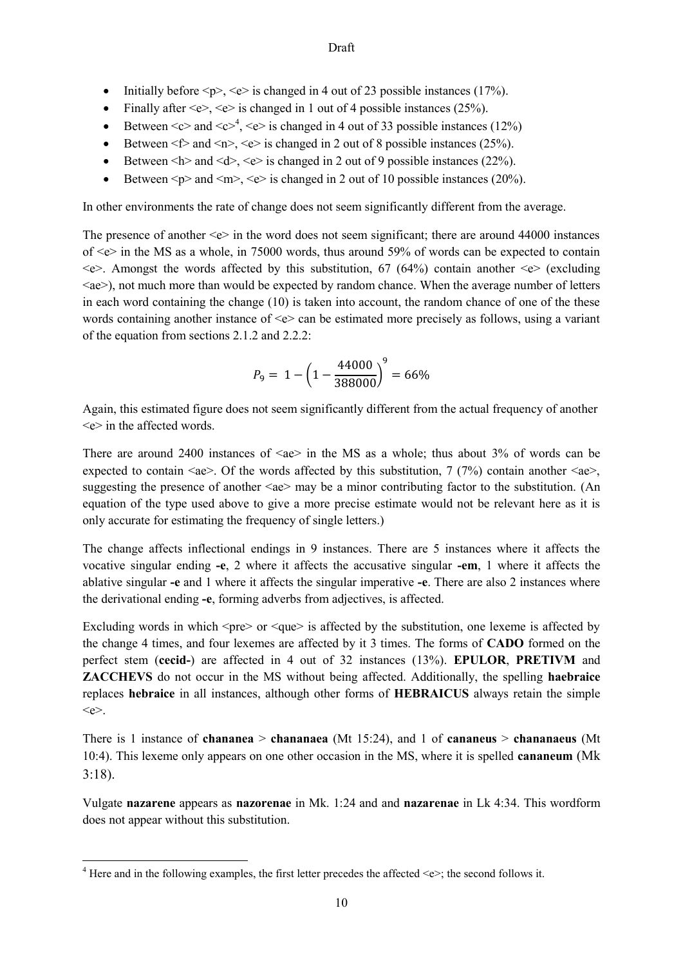- Initially before  $\langle p \rangle$ ,  $\langle e \rangle$  is changed in 4 out of 23 possible instances (17%).
- Finally after  $\langle e \rangle$ ,  $\langle e \rangle$  is changed in 1 out of 4 possible instances (25%).
- Eletween  $\langle c \rangle$  and  $\langle c \rangle^4$ ,  $\langle e \rangle$  is changed in 4 out of 33 possible instances (12%)
- Between  $\leq f$  and  $\leq n$ ,  $\leq e$  is changed in 2 out of 8 possible instances (25%).
- Between  $\langle h \rangle$  and  $\langle d \rangle$ ,  $\langle e \rangle$  is changed in 2 out of 9 possible instances (22%).
- Between  $\leq p$  and  $\leq m$ ,  $\leq e$  is changed in 2 out of 10 possible instances (20%).

In other environments the rate of change does not seem significantly different from the average.

The presence of another  $\leq e$  in the word does not seem significant; there are around 44000 instances of  $\leq e$  in the MS as a whole, in 75000 words, thus around 59% of words can be expected to contain  $\leq$ e $\geq$ . Amongst the words affected by this substitution, 67 (64%) contain another  $\leq$ e $\geq$  (excluding <ae>), not much more than would be expected by random chance. When the average number of letters in each word containing the change (10) is taken into account, the random chance of one of the these words containing another instance of  $\leq e$  can be estimated more precisely as follows, using a variant of the equation from sections 2.1.2 and 2.2.2:

$$
P_9 = 1 - \left(1 - \frac{44000}{388000}\right)^9 = 66\%
$$

Again, this estimated figure does not seem significantly different from the actual frequency of another  $\leq e$  in the affected words.

There are around 2400 instances of  $\langle ae \rangle$  in the MS as a whole; thus about 3% of words can be expected to contain  $\langle ae \rangle$ . Of the words affected by this substitution, 7 (7%) contain another  $\langle ae \rangle$ , suggesting the presence of another  $\langle ae \rangle$  may be a minor contributing factor to the substitution. (An equation of the type used above to give a more precise estimate would not be relevant here as it is only accurate for estimating the frequency of single letters.)

The change affects inflectional endings in 9 instances. There are 5 instances where it affects the vocative singular ending **-e**, 2 where it affects the accusative singular **-em**, 1 where it affects the ablative singular **-e** and 1 where it affects the singular imperative **-e**. There are also 2 instances where the derivational ending **-e**, forming adverbs from adjectives, is affected.

Excluding words in which  $\langle pre \rangle$  or  $\langle que \rangle$  is affected by the substitution, one lexeme is affected by the change 4 times, and four lexemes are affected by it 3 times. The forms of **CADO** formed on the perfect stem (**cecid-**) are affected in 4 out of 32 instances (13%). **EPULOR**, **PRETIVM** and **ZACCHEVS** do not occur in the MS without being affected. Additionally, the spelling **haebraice** replaces **hebraice** in all instances, although other forms of **HEBRAICUS** always retain the simple  $\leq e \geq$ .

There is 1 instance of **chananea** > **chananaea** (Mt 15:24), and 1 of **cananeus** > **chananaeus** (Mt 10:4). This lexeme only appears on one other occasion in the MS, where it is spelled **cananeum** (Mk 3:18).

Vulgate **nazarene** appears as **nazorenae** in Mk. 1:24 and and **nazarenae** in Lk 4:34. This wordform does not appear without this substitution.

**<sup>.</sup>** <sup>4</sup> Here and in the following examples, the first letter precedes the affected  $\ll\geq$ ; the second follows it.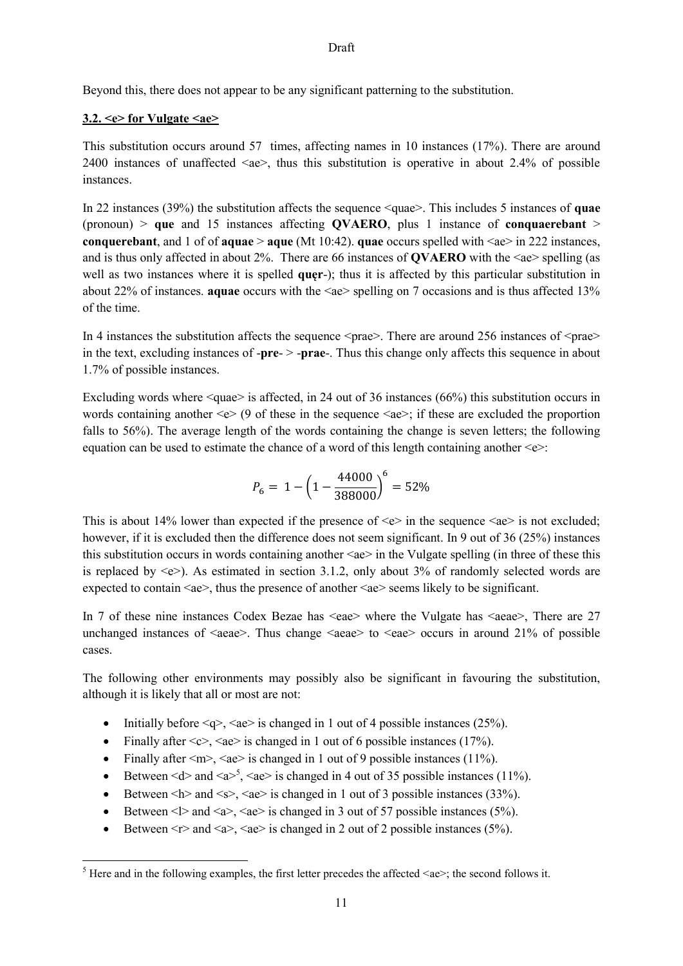Beyond this, there does not appear to be any significant patterning to the substitution.

#### **3.2. <e> for Vulgate <ae>**

**.** 

This substitution occurs around 57 times, affecting names in 10 instances (17%). There are around 2400 instances of unaffected <ae>, thus this substitution is operative in about 2.4% of possible instances.

In 22 instances (39%) the substitution affects the sequence <quae>. This includes 5 instances of **quae**  (pronoun) > **que** and 15 instances affecting **QVAERO**, plus 1 instance of **conquaerebant** > **conquerebant**, and 1 of of **aquae**  $>$  **aque** (Mt 10:42). **quae** occurs spelled with  $\leq$ ae $>$  in 222 instances, and is thus only affected in about 2%. There are 66 instances of **QVAERO** with the <ae> spelling (as well as two instances where it is spelled **quęr**-); thus it is affected by this particular substitution in about 22% of instances. **aquae** occurs with the <ae> spelling on 7 occasions and is thus affected 13% of the time.

In 4 instances the substitution affects the sequence  $\langle \text{prae} \rangle$ . There are around 256 instances of  $\langle \text{prae} \rangle$ in the text, excluding instances of **-pre-** > **-prae**-. Thus this change only affects this sequence in about 1.7% of possible instances.

Excluding words where  $\langle \text{quae} \rangle$  is affected, in 24 out of 36 instances (66%) this substitution occurs in words containing another  $\leq e$  (9 of these in the sequence  $\leq$  ae>; if these are excluded the proportion falls to 56%). The average length of the words containing the change is seven letters; the following equation can be used to estimate the chance of a word of this length containing another  $\leq e$ :

$$
P_6 = 1 - \left(1 - \frac{44000}{388000}\right)^6 = 52\%
$$

This is about 14% lower than expected if the presence of  $\leq e$  in the sequence  $\leq ae$  is not excluded; however, if it is excluded then the difference does not seem significant. In 9 out of 36 (25%) instances this substitution occurs in words containing another  $\langle ae \rangle$  in the Vulgate spelling (in three of these this is replaced by  $\langle e \rangle$ . As estimated in section 3.1.2, only about 3% of randomly selected words are expected to contain  $\langle ae \rangle$ , thus the presence of another  $\langle ae \rangle$  seems likely to be significant.

In 7 of these nine instances Codex Bezae has  $\langle$ eae $\rangle$  where the Vulgate has  $\langle$ aeae $\rangle$ , There are 27 unchanged instances of  $\langle \text{aeae} \rangle$ . Thus change  $\langle \text{aeae} \rangle$  to  $\langle \text{aeae} \rangle$  occurs in around 21% of possible cases.

The following other environments may possibly also be significant in favouring the substitution, although it is likely that all or most are not:

- Initially before  $\langle q \rangle$ ,  $\langle a \rangle$  is changed in 1 out of 4 possible instances (25%).
- Finally after  $\langle c \rangle$ ,  $\langle ae \rangle$  is changed in 1 out of 6 possible instances (17%).
- Finally after  $\langle m \rangle$ ,  $\langle ae \rangle$  is changed in 1 out of 9 possible instances (11%).
- Between  $\le d$  and  $\le a$  > 5,  $\le$  ae > is changed in 4 out of 35 possible instances (11%).
- Between  $\langle h \rangle$  and  $\langle s \rangle$ ,  $\langle ae \rangle$  is changed in 1 out of 3 possible instances (33%).
- Between  $\leq$   $\geq$  and  $\leq$   $\geq$ ,  $\leq$  ae $\geq$  is changed in 3 out of 57 possible instances (5%).
- Between  $\leq r$  and  $\leq a$ ,  $\leq a$ e is changed in 2 out of 2 possible instances (5%).

<sup>&</sup>lt;sup>5</sup> Here and in the following examples, the first letter precedes the affected  $\langle ae \rangle$ ; the second follows it.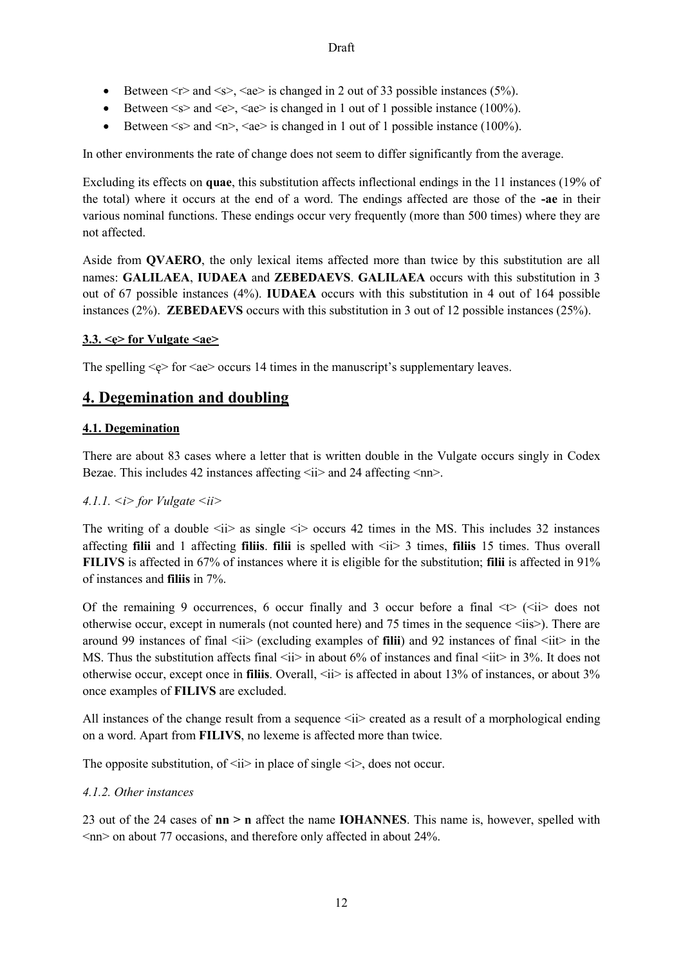- Between  $\langle r \rangle$  and  $\langle s \rangle$ ,  $\langle a e \rangle$  is changed in 2 out of 33 possible instances (5%).
- Between  $\le s$  and  $\le e$ ,  $\le$  ae is changed in 1 out of 1 possible instance (100%).
- Between  $\leq s$  and  $\leq n$   $\leq$   $\leq$  ae is changed in 1 out of 1 possible instance (100%).

In other environments the rate of change does not seem to differ significantly from the average.

Excluding its effects on **quae**, this substitution affects inflectional endings in the 11 instances (19% of the total) where it occurs at the end of a word. The endings affected are those of the **-ae** in their various nominal functions. These endings occur very frequently (more than 500 times) where they are not affected.

Aside from **QVAERO**, the only lexical items affected more than twice by this substitution are all names: **GALILAEA**, **IUDAEA** and **ZEBEDAEVS**. **GALILAEA** occurs with this substitution in 3 out of 67 possible instances (4%). **IUDAEA** occurs with this substitution in 4 out of 164 possible instances (2%). **ZEBEDAEVS** occurs with this substitution in 3 out of 12 possible instances (25%).

## **3.3. <ę> for Vulgate <ae>**

The spelling  $\langle e \rangle$  for  $\langle ae \rangle$  occurs 14 times in the manuscript's supplementary leaves.

# **4. Degemination and doubling**

## **4.1. Degemination**

There are about 83 cases where a letter that is written double in the Vulgate occurs singly in Codex Bezae. This includes 42 instances affecting  $\langle ii \rangle$  and 24 affecting  $\langle nn \rangle$ .

## *4.1.1. <i> for Vulgate <ii>*

The writing of a double  $\langle i \rangle$  as single  $\langle i \rangle$  occurs 42 times in the MS. This includes 32 instances affecting **filii** and 1 affecting **filiis**. **filii** is spelled with <ii> 3 times, **filiis** 15 times. Thus overall **FILIVS** is affected in 67% of instances where it is eligible for the substitution; **filii** is affected in 91% of instances and **filiis** in 7%.

Of the remaining 9 occurrences, 6 occur finally and 3 occur before a final  $\langle \rangle$  ( $\langle i \rangle$  does not otherwise occur, except in numerals (not counted here) and 75 times in the sequence  $\leq$ iis $\geq$ ). There are around 99 instances of final  $\langle ii \rangle$  (excluding examples of **filii**) and 92 instances of final  $\langle iii \rangle$  in the MS. Thus the substitution affects final  $\langle i \rangle$  in about 6% of instances and final  $\langle i \rangle$  in 3%. It does not otherwise occur, except once in **filiis**. Overall,  $\langle ii \rangle$  is affected in about 13% of instances, or about 3% once examples of **FILIVS** are excluded.

All instances of the change result from a sequence  $\langle ii \rangle$  created as a result of a morphological ending on a word. Apart from **FILIVS**, no lexeme is affected more than twice.

The opposite substitution, of  $\langle i \rangle$  in place of single  $\langle i \rangle$ , does not occur.

## *4.1.2. Other instances*

23 out of the 24 cases of **nn > n** affect the name **IOHANNES**. This name is, however, spelled with  $\langle$ nn> on about 77 occasions, and therefore only affected in about 24%.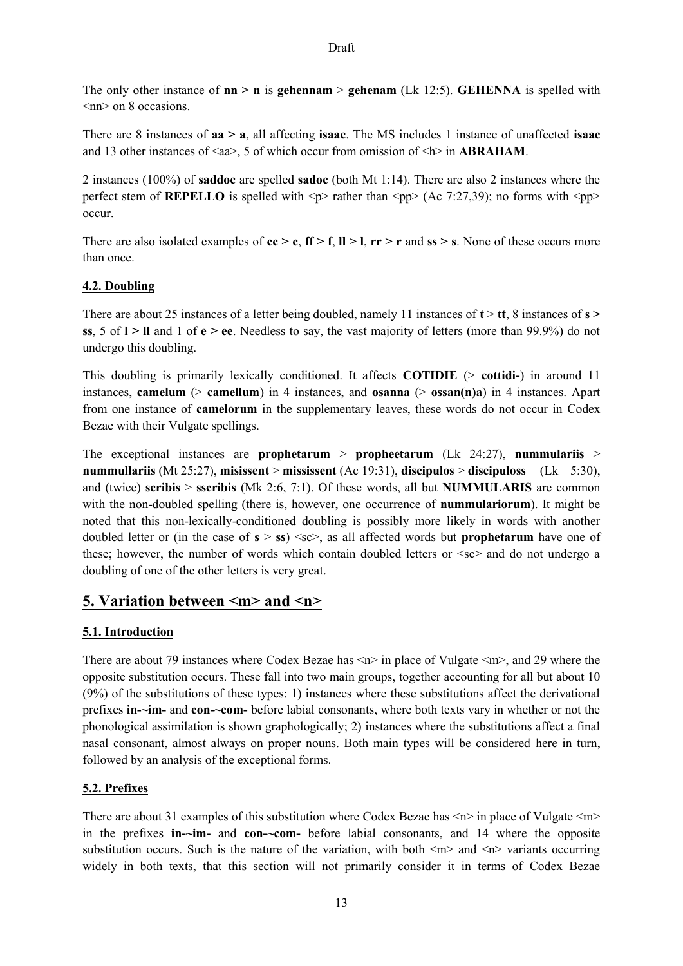The only other instance of  $nn > n$  is **gehennam**  $>$  **gehenam** (Lk 12:5). **GEHENNA** is spelled with  $\langle$ nn $>$  on 8 occasions.

There are 8 instances of **aa > a**, all affecting **isaac**. The MS includes 1 instance of unaffected **isaac**  and 13 other instances of  $\langle a \rangle$ , 5 of which occur from omission of  $\langle b \rangle$  in **ABRAHAM**.

2 instances (100%) of **saddoc** are spelled **sadoc** (both Mt 1:14). There are also 2 instances where the perfect stem of **REPELLO** is spelled with  $\langle p \rangle$  rather than  $\langle pp \rangle$  (Ac 7:27,39); no forms with  $\langle pp \rangle$ occur.

There are also isolated examples of **cc > c**, **ff > f**, **ll > l**, **rr > r** and **ss > s**. None of these occurs more than once.

## **4.2. Doubling**

There are about 25 instances of a letter being doubled, namely 11 instances of **t** > **tt**, 8 instances of **s > ss**, 5 of **l > ll** and 1 of **e > ee**. Needless to say, the vast majority of letters (more than 99.9%) do not undergo this doubling.

This doubling is primarily lexically conditioned. It affects **COTIDIE** (> **cottidi-**) in around 11 instances, **camelum** (> **camellum**) in 4 instances, and **osanna** (> **ossan(n)a**) in 4 instances. Apart from one instance of **camelorum** in the supplementary leaves, these words do not occur in Codex Bezae with their Vulgate spellings.

The exceptional instances are **prophetarum** > **propheetarum** (Lk 24:27), **nummulariis** > **nummullariis** (Mt 25:27), **misissent** > **mississent** (Ac 19:31), **discipulos** > **discipuloss** (Lk 5:30), and (twice) **scribis** > **sscribis** (Mk 2:6, 7:1). Of these words, all but **NUMMULARIS** are common with the non-doubled spelling (there is, however, one occurrence of **nummulariorum**). It might be noted that this non-lexically-conditioned doubling is possibly more likely in words with another doubled letter or (in the case of  $s > ss$ )  $\ll$ sc $>$ , as all affected words but **prophetarum** have one of these; however, the number of words which contain doubled letters or  $\langle$ sc $>$  and do not undergo a doubling of one of the other letters is very great.

# **5. Variation between <m> and <n>**

# **5.1. Introduction**

There are about 79 instances where Codex Bezae has  $\langle n \rangle$  in place of Vulgate  $\langle m \rangle$ , and 29 where the opposite substitution occurs. These fall into two main groups, together accounting for all but about 10 (9%) of the substitutions of these types: 1) instances where these substitutions affect the derivational prefixes **in-~im-** and **con-~com-** before labial consonants, where both texts vary in whether or not the phonological assimilation is shown graphologically; 2) instances where the substitutions affect a final nasal consonant, almost always on proper nouns. Both main types will be considered here in turn, followed by an analysis of the exceptional forms.

# **5.2. Prefixes**

There are about 31 examples of this substitution where Codex Bezae has  $\langle n \rangle$  in place of Vulgate  $\langle m \rangle$ in the prefixes **in-~im-** and **con-~com-** before labial consonants, and 14 where the opposite substitution occurs. Such is the nature of the variation, with both  $\langle m \rangle$  and  $\langle n \rangle$  variants occurring widely in both texts, that this section will not primarily consider it in terms of Codex Bezae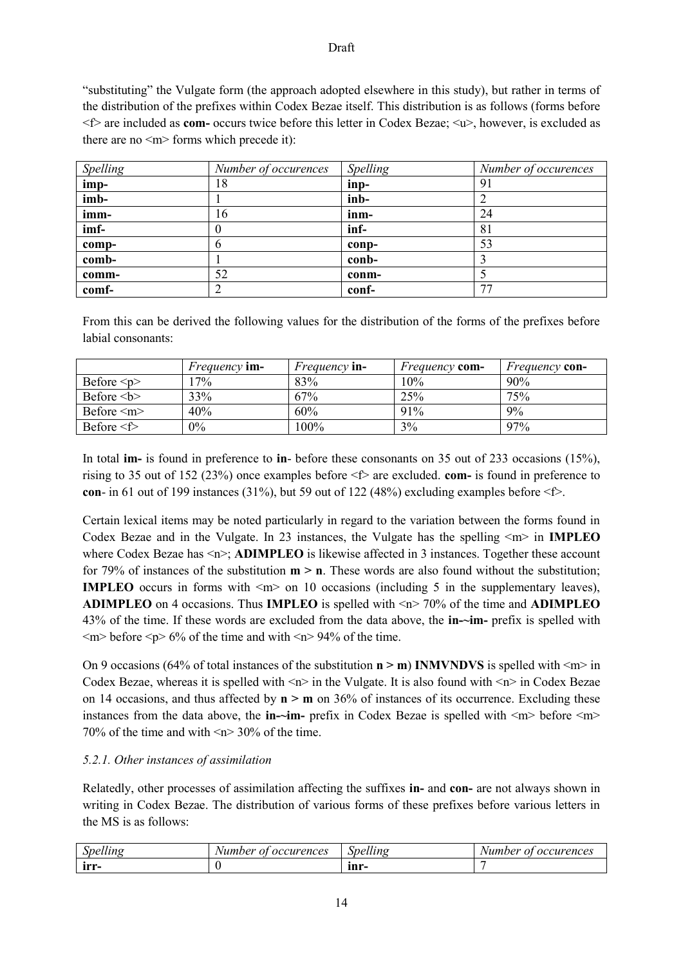"substituting" the Vulgate form (the approach adopted elsewhere in this study), but rather in terms of the distribution of the prefixes within Codex Bezae itself. This distribution is as follows (forms before <f> are included as **com-** occurs twice before this letter in Codex Bezae; <u>, however, is excluded as there are no  $\leq m$  forms which precede it):

| Spelling | Number of occurences | Spelling | Number of occurences |
|----------|----------------------|----------|----------------------|
| imp-     | 18                   | inp-     | 91                   |
| imb-     |                      | inb-     |                      |
| imm-     | 16                   | inm-     | 24                   |
| imf-     |                      | inf-     | 81                   |
| comp-    |                      | conp-    | 53                   |
| comb-    |                      | conb-    |                      |
| comm-    | 52                   | conm-    |                      |
| comf-    |                      | conf-    | 77                   |

From this can be derived the following values for the distribution of the forms of the prefixes before labial consonants:

|                   | <i>Frequency</i> im- | <i>Frequency</i> in- | <i>Frequency</i> com- | <i>Frequency</i> con- |
|-------------------|----------------------|----------------------|-----------------------|-----------------------|
| Before $\leq p$   | $7\%$                | 83%                  | 10%                   | $90\%$                |
| Before $5$        | 33%                  | 67%                  | 25%                   | 75%                   |
| Before $\leq m$   | 40%                  | 60%                  | 91%                   | 9%                    |
| Before $\leq f$ > | $0\%$                | 100%                 | 3%                    | 97%                   |

In total **im-** is found in preference to **in**- before these consonants on 35 out of 233 occasions (15%), rising to 35 out of 152 (23%) once examples before <f> are excluded. **com-** is found in preference to **con-** in 61 out of 199 instances (31%), but 59 out of 122 (48%) excluding examples before  $\leq$   $\geq$ .

Certain lexical items may be noted particularly in regard to the variation between the forms found in Codex Bezae and in the Vulgate. In 23 instances, the Vulgate has the spelling <m> in **IMPLEO**  where Codex Bezae has  $\langle n \rangle$ ; **ADIMPLEO** is likewise affected in 3 instances. Together these account for 79% of instances of the substitution **m > n**. These words are also found without the substitution; **IMPLEO** occurs in forms with  $\leq m$  on 10 occasions (including 5 in the supplementary leaves), **ADIMPLEO** on 4 occasions. Thus **IMPLEO** is spelled with <n> 70% of the time and **ADIMPLEO**  43% of the time. If these words are excluded from the data above, the **in-~im-** prefix is spelled with  $\langle m \rangle$  before  $\langle p \rangle$  6% of the time and with  $\langle n \rangle$  94% of the time.

On 9 occasions (64% of total instances of the substitution  $n > m$ ) **INMVNDVS** is spelled with  $\leq m$  in Codex Bezae, whereas it is spelled with  $\le n$  in the Vulgate. It is also found with  $\le n$  in Codex Bezae on 14 occasions, and thus affected by **n > m** on 36% of instances of its occurrence. Excluding these instances from the data above, the **in-~im-** prefix in Codex Bezae is spelled with  $\langle m \rangle$  before  $\langle m \rangle$ 70% of the time and with <n> 30% of the time.

## *5.2.1. Other instances of assimilation*

Relatedly, other processes of assimilation affecting the suffixes **in-** and **con-** are not always shown in writing in Codex Bezae. The distribution of various forms of these prefixes before various letters in the MS is as follows:

| $\cdots$    | ccurences:<br>Number<br>ΩĪ<br>oc | $\overline{11}$<br>Spelling | occurences<br>Number<br>$\boldsymbol{\theta}$ |
|-------------|----------------------------------|-----------------------------|-----------------------------------------------|
| 3,34,34<br> |                                  | ınr<br>ш                    |                                               |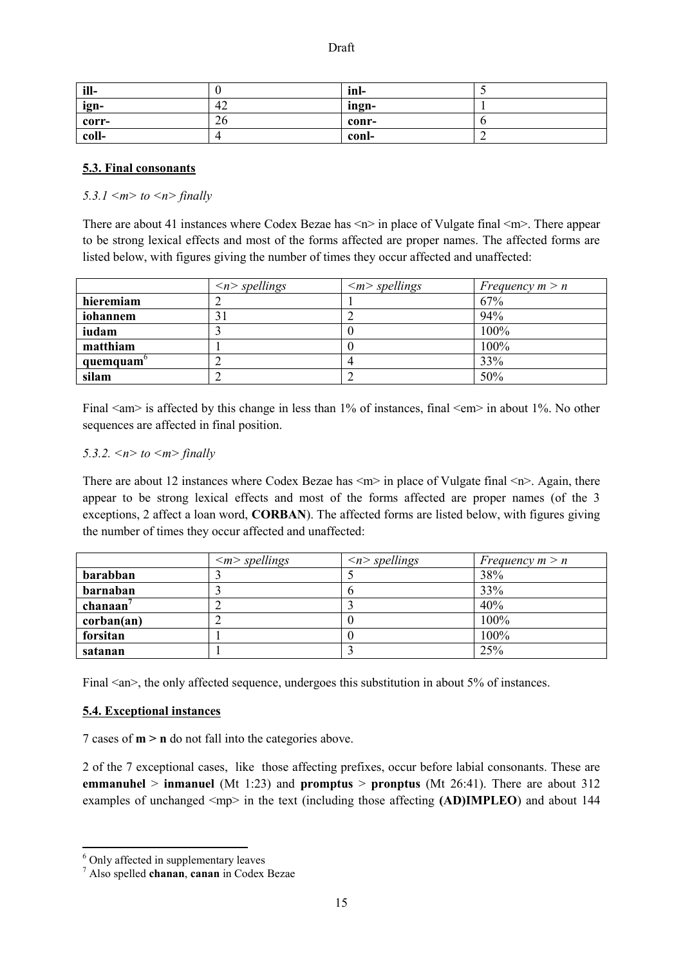| ill-  |    | -inl  |  |
|-------|----|-------|--|
| ign-  | 42 | ingn- |  |
| corr- | 26 | conr- |  |
| coll- |    | conl- |  |

## **5.3. Final consonants**

*5.3.1 <m> to <n> finally*

There are about 41 instances where Codex Bezae has  $\leq n$  in place of Vulgate final  $\leq m$ . There appear to be strong lexical effects and most of the forms affected are proper names. The affected forms are listed below, with figures giving the number of times they occur affected and unaffected:

|           | $\langle n \rangle$ spellings | $\langle m \rangle$ spellings | Frequency $m > n$ |
|-----------|-------------------------------|-------------------------------|-------------------|
| hieremiam |                               |                               | 67%               |
| iohannem  | 3 I                           |                               | 94%               |
| iudam     |                               |                               | 100%              |
| matthiam  |                               |                               | 100%              |
| quemquam  |                               |                               | 33%               |
| silam     |                               |                               | 50%               |

Final  $\langle$ am> is affected by this change in less than 1% of instances, final  $\langle$ em> in about 1%. No other sequences are affected in final position.

#### *5.3.2. <n> to <m> finally*

There are about 12 instances where Codex Bezae has  $\langle m \rangle$  in place of Vulgate final  $\langle n \rangle$ . Again, there appear to be strong lexical effects and most of the forms affected are proper names (of the 3 exceptions, 2 affect a loan word, **CORBAN**). The affected forms are listed below, with figures giving the number of times they occur affected and unaffected:

|            | $\langle m \rangle$ spellings | $\langle n \rangle$ spellings | Frequency $m > n$ |
|------------|-------------------------------|-------------------------------|-------------------|
| barabban   |                               |                               | 38%               |
| barnaban   |                               | O                             | 33%               |
| $chanaan7$ |                               |                               | 40%               |
| corban(an) |                               |                               | 100%              |
| forsitan   |                               |                               | 100%              |
| satanan    |                               |                               | 25%               |

Final  $\langle$ an $\rangle$ , the only affected sequence, undergoes this substitution in about 5% of instances.

## **5.4. Exceptional instances**

7 cases of **m > n** do not fall into the categories above.

2 of the 7 exceptional cases, like those affecting prefixes, occur before labial consonants. These are **emmanuhel** > **inmanuel** (Mt 1:23) and **promptus** > **pronptus** (Mt 26:41). There are about 312 examples of unchanged  $\langle mp \rangle$  in the text (including those affecting **(AD)IMPLEO**) and about 144

1

<sup>&</sup>lt;sup>6</sup> Only affected in supplementary leaves

<sup>7</sup> Also spelled **chanan**, **canan** in Codex Bezae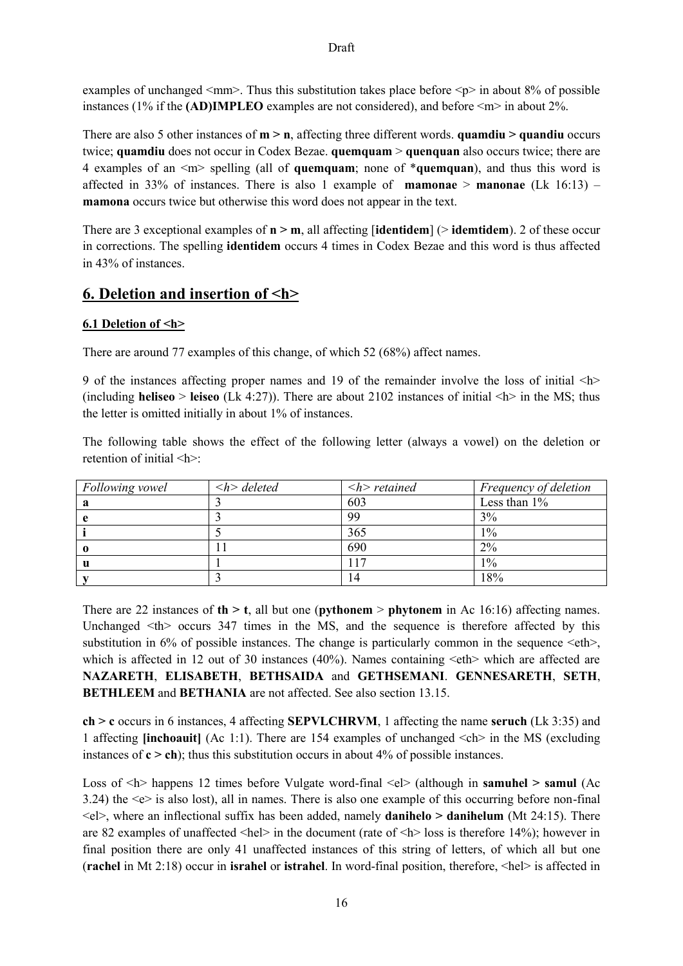examples of unchanged  $\leq$ mm>. Thus this substitution takes place before  $\leq$ p> in about 8% of possible instances (1% if the **(AD)IMPLEO** examples are not considered), and before <m> in about 2%.

There are also 5 other instances of **m > n**, affecting three different words. **quamdiu > quandiu** occurs twice; **quamdiu** does not occur in Codex Bezae. **quemquam** > **quenquan** also occurs twice; there are 4 examples of an <m> spelling (all of **quemquam**; none of \***quemquan**), and thus this word is affected in 33% of instances. There is also 1 example of **mamonae** > **manonae** (Lk  $16:13$ ) – **mamona** occurs twice but otherwise this word does not appear in the text.

There are 3 exceptional examples of **n > m**, all affecting [**identidem**] (> **idemtidem**). 2 of these occur in corrections. The spelling **identidem** occurs 4 times in Codex Bezae and this word is thus affected in 43% of instances.

# **6. Deletion and insertion of <h>**

## **6.1 Deletion of <h>**

There are around 77 examples of this change, of which 52 (68%) affect names.

9 of the instances affecting proper names and 19 of the remainder involve the loss of initial <h> (including **heliseo** > **leiseo** (Lk 4:27)). There are about 2102 instances of initial  $\langle \mathbf{h} \rangle$  in the MS; thus the letter is omitted initially in about 1% of instances.

The following table shows the effect of the following letter (always a vowel) on the deletion or retention of initial <h>:

| Following vowel | $\langle h \rangle$ deleted | $\langle h \rangle$ retained | Frequency of deletion |
|-----------------|-----------------------------|------------------------------|-----------------------|
| a               |                             | 603                          | Less than $1\%$       |
|                 |                             | 99                           | 3%                    |
|                 |                             | 365                          | $1\%$                 |
|                 |                             | 690                          | 2%                    |
| u               |                             | 17                           | $1\%$                 |
|                 |                             | 14                           | 18%                   |

There are 22 instances of **th > t**, all but one (**pythonem** > **phytonem** in Ac 16:16) affecting names. Unchanged  $\langle th \rangle$  occurs 347 times in the MS, and the sequence is therefore affected by this substitution in  $6\%$  of possible instances. The change is particularly common in the sequence  $\leq$  eth $>$ , which is affected in 12 out of 30 instances (40%). Names containing  $\leq$ eth $>$  which are affected are **NAZARETH**, **ELISABETH**, **BETHSAIDA** and **GETHSEMANI**. **GENNESARETH**, **SETH**, **BETHLEEM** and **BETHANIA** are not affected. See also section 13.15.

**ch > c** occurs in 6 instances, 4 affecting **SEPVLCHRVM**, 1 affecting the name **seruch** (Lk 3:35) and 1 affecting **[inchoauit]** (Ac 1:1). There are 154 examples of unchanged <ch> in the MS (excluding instances of  $c > ch$ ); thus this substitution occurs in about  $4\%$  of possible instances.

Loss of <h> happens 12 times before Vulgate word-final <el> (although in **samuhel > samul** (Ac 3.24) the <e> is also lost), all in names. There is also one example of this occurring before non-final  $\leq$ el>, where an inflectional suffix has been added, namely **danihelo > danihelum** (Mt 24:15). There are 82 examples of unaffected <hel> in the document (rate of <h> loss is therefore 14%); however in final position there are only 41 unaffected instances of this string of letters, of which all but one (**rachel** in Mt 2:18) occur in **israhel** or **istrahel**. In word-final position, therefore, <hel> is affected in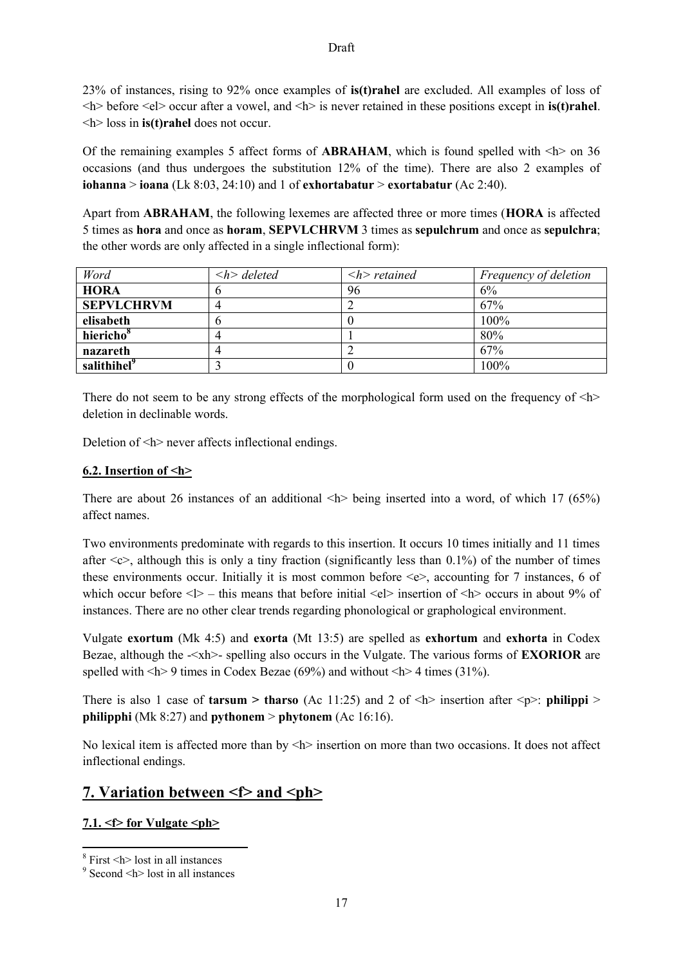# 23% of instances, rising to 92% once examples of **is(t)rahel** are excluded. All examples of loss of <h> before <el> occur after a vowel, and <h> is never retained in these positions except in **is(t)rahel**. <h> loss in **is(t)rahel** does not occur.

Of the remaining examples 5 affect forms of **ABRAHAM**, which is found spelled with  $\langle h \rangle$  on 36 occasions (and thus undergoes the substitution 12% of the time). There are also 2 examples of **iohanna** > **ioana** (Lk 8:03, 24:10) and 1 of **exhortabatur** > **exortabatur** (Ac 2:40).

Apart from **ABRAHAM**, the following lexemes are affected three or more times (**HORA** is affected 5 times as **hora** and once as **horam**, **SEPVLCHRVM** 3 times as **sepulchrum** and once as **sepulchra**; the other words are only affected in a single inflectional form):

| Word                    | $\langle h \rangle$ deleted | $\langle h \rangle$ retained | Frequency of deletion |
|-------------------------|-----------------------------|------------------------------|-----------------------|
| <b>HORA</b>             |                             | 96                           | 6%                    |
| <b>SEPVLCHRVM</b>       |                             |                              | 67%                   |
| elisabeth               |                             |                              | 100%                  |
| hiericho <sup>8</sup>   |                             |                              | 80%                   |
| nazareth                |                             |                              | 67%                   |
| salithihel <sup>9</sup> |                             |                              | 100%                  |

There do not seem to be any strong effects of the morphological form used on the frequency of  $\langle h \rangle$ deletion in declinable words.

Deletion of  $\leq h$  never affects inflectional endings.

# **6.2. Insertion of <h>**

There are about 26 instances of an additional  $\langle h \rangle$  being inserted into a word, of which 17 (65%) affect names.

Two environments predominate with regards to this insertion. It occurs 10 times initially and 11 times after  $\langle \cos \theta \rangle$ , although this is only a tiny fraction (significantly less than 0.1%) of the number of times these environments occur. Initially it is most common before  $\leq e$ , accounting for 7 instances, 6 of which occur before  $\langle \rangle$  – this means that before initial  $\langle e \rangle$  insertion of  $\langle h \rangle$  occurs in about 9% of instances. There are no other clear trends regarding phonological or graphological environment.

Vulgate **exortum** (Mk 4:5) and **exorta** (Mt 13:5) are spelled as **exhortum** and **exhorta** in Codex Bezae, although the -<xh>- spelling also occurs in the Vulgate. The various forms of **EXORIOR** are spelled with  $\langle h \rangle$  9 times in Codex Bezae (69%) and without  $\langle h \rangle$  4 times (31%).

There is also 1 case of **tarsum > tharso** (Ac 11:25) and 2 of  $\leq h$  insertion after  $\leq p$  in **philippi** > **philipphi** (Mk 8:27) and **pythonem** > **phytonem** (Ac 16:16).

No lexical item is affected more than by  $\langle h \rangle$  insertion on more than two occasions. It does not affect inflectional endings.

# **7. Variation between <f> and <ph>**

# **7.1. <f> for Vulgate <ph>**

 8 First <h> lost in all instances

<sup>9</sup> Second <h> lost in all instances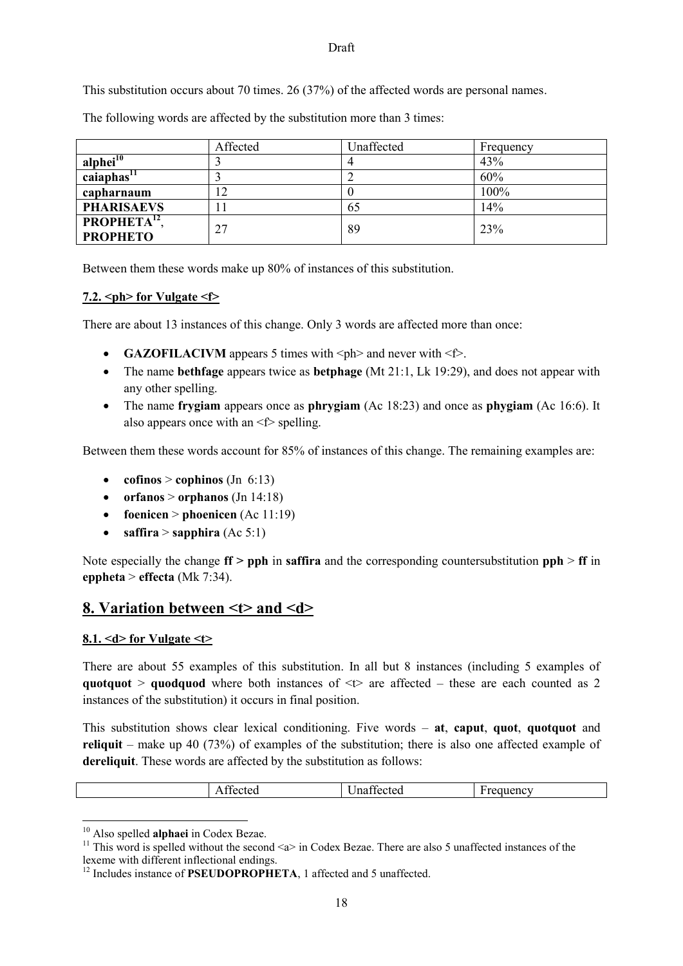This substitution occurs about 70 times. 26 (37%) of the affected words are personal names.

The following words are affected by the substitution more than 3 times:

|                                | Affected | Unaffected | Frequency |
|--------------------------------|----------|------------|-----------|
| alphei <sup>10</sup>           |          |            | 43%       |
| caiaphas <sup>11</sup>         |          |            | 60%       |
| capharnaum                     | 12       |            | 100%      |
| <b>PHARISAEVS</b>              |          | 65         | 14%       |
| <b>PROPHETA<sup>12</sup></b> , | 27       | 89         | 23%       |
| <b>PROPHETO</b>                |          |            |           |

Between them these words make up 80% of instances of this substitution.

#### **7.2. <ph> for Vulgate <f>**

There are about 13 instances of this change. Only 3 words are affected more than once:

- **GAZOFILACIVM** appears 5 times with  $\langle \text{ph} \rangle$  and never with  $\langle \text{ft} \rangle$ .
- The name **bethfage** appears twice as **betphage** (Mt 21:1, Lk 19:29), and does not appear with any other spelling.
- The name **frygiam** appears once as **phrygiam** (Ac 18:23) and once as **phygiam** (Ac 16:6). It also appears once with an  $\leq f$  spelling.

Between them these words account for 85% of instances of this change. The remaining examples are:

- **cofinos** > **cophinos** (Jn 6:13)
- **orfanos** > **orphanos** (Jn 14:18)
- **foenicen** > **phoenicen** (Ac 11:19)
- **•** saffira > sapphira  $(Ac 5:1)$

Note especially the change **ff > pph** in **saffira** and the corresponding countersubstitution **pph** > **ff** in **eppheta** > **effecta** (Mk 7:34).

# **8. Variation between <t> and <d>**

## **8.1. <d> for Vulgate <t>**

There are about 55 examples of this substitution. In all but 8 instances (including 5 examples of **quotquot** > **quodquod** where both instances of  $\leq t$  are affected – these are each counted as 2 instances of the substitution) it occurs in final position.

This substitution shows clear lexical conditioning. Five words – **at**, **caput**, **quot**, **quotquot** and **reliquit** – make up 40 (73%) of examples of the substitution; there is also one affected example of **dereliquit**. These words are affected by the substitution as follows:

| $\alpha$ | $\sim$ $\sim$<br>$\alpha$<br>'na<br>тес<br>manecieg | $\overline{\phantom{a}}$<br>$-$<br>enc<br>,,,,,<br>$\sim$<br>___<br>$\sim$ |
|----------|-----------------------------------------------------|----------------------------------------------------------------------------|
|          |                                                     |                                                                            |

<sup>10</sup> Also spelled **alphaei** in Codex Bezae.

**.** 

<sup>&</sup>lt;sup>11</sup> This word is spelled without the second  $\le a$  in Codex Bezae. There are also 5 unaffected instances of the lexeme with different inflectional endings.

<sup>&</sup>lt;sup>12</sup> Includes instance of **PSEUDOPROPHETA**, 1 affected and 5 unaffected.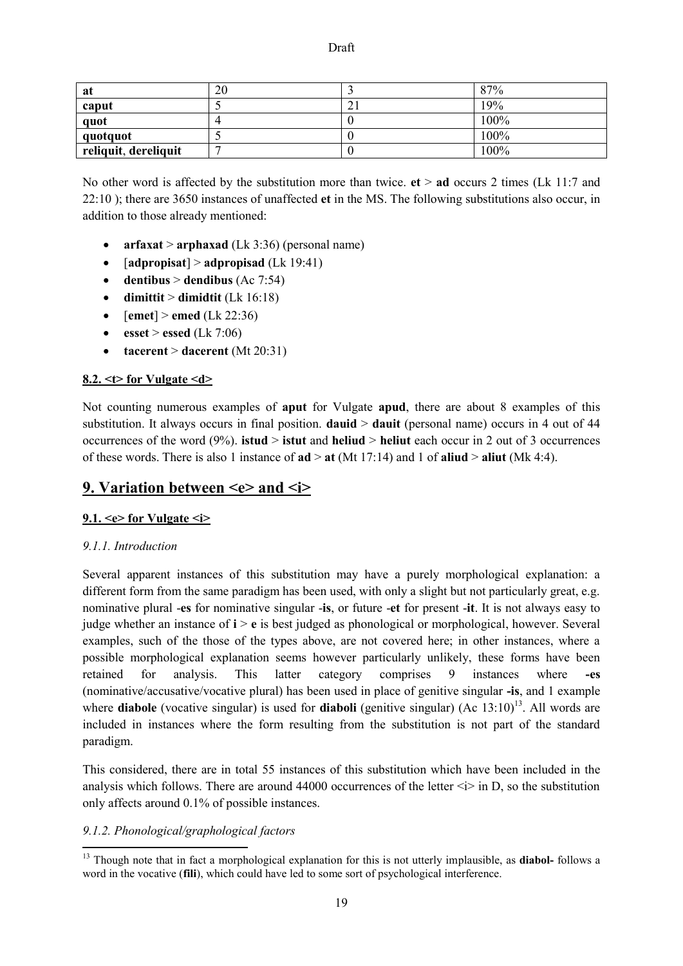| at                   | 20 |    | 87%  |
|----------------------|----|----|------|
| caput                |    | ∠⊥ | 19%  |
| quot                 |    |    | 100% |
| quotquot             |    |    | 100% |
| reliquit, dereliquit |    |    | 100% |

No other word is affected by the substitution more than twice. **et** > **ad** occurs 2 times (Lk 11:7 and 22:10 ); there are 3650 instances of unaffected **et** in the MS. The following substitutions also occur, in addition to those already mentioned:

- **arfaxat** > **arphaxad** (Lk 3:36) (personal name)
- [**adpropisat**] > **adpropisad** (Lk 19:41)
- **•** dentibus > dendibus  $(Ac 7:54)$
- $\bullet$  **dimittit** > **dimidtit** (Lk 16:18)
- $[$ **emet** $]$  > **emed** (Lk 22:36)
- **e**  $\text{esset} > \text{essed (Lk 7:06)}$
- **tacerent** > **dacerent** (Mt 20:31)

#### **8.2. <t> for Vulgate <d>**

Not counting numerous examples of **aput** for Vulgate **apud**, there are about 8 examples of this substitution. It always occurs in final position. **dauid** > **dauit** (personal name) occurs in 4 out of 44 occurrences of the word (9%). **istud** > **istut** and **heliud** > **heliut** each occur in 2 out of 3 occurrences of these words. There is also 1 instance of  $ad > at$  (Mt 17:14) and 1 of **aliud** >  $aliud$  (Mk 4:4).

# 9. Variation between <e> and <i>

## **9.1. <e> for Vulgate <i>**

## *9.1.1. Introduction*

1

Several apparent instances of this substitution may have a purely morphological explanation: a different form from the same paradigm has been used, with only a slight but not particularly great, e.g. nominative plural -**es** for nominative singular -**is**, or future -**et** for present -**it**. It is not always easy to judge whether an instance of **i** > **e** is best judged as phonological or morphological, however. Several examples, such of the those of the types above, are not covered here; in other instances, where a possible morphological explanation seems however particularly unlikely, these forms have been retained for analysis. This latter category comprises 9 instances where **-es**  (nominative/accusative/vocative plural) has been used in place of genitive singular **-is**, and 1 example where **diabole** (vocative singular) is used for **diaboli** (genitive singular) (Ac  $13:10$ )<sup>13</sup>. All words are included in instances where the form resulting from the substitution is not part of the standard paradigm.

This considered, there are in total 55 instances of this substitution which have been included in the analysis which follows. There are around 44000 occurrences of the letter  $\langle i \rangle$  in D, so the substitution only affects around 0.1% of possible instances.

## *9.1.2. Phonological/graphological factors*

<sup>&</sup>lt;sup>13</sup> Though note that in fact a morphological explanation for this is not utterly implausible, as **diabol-** follows a word in the vocative (**fili**), which could have led to some sort of psychological interference.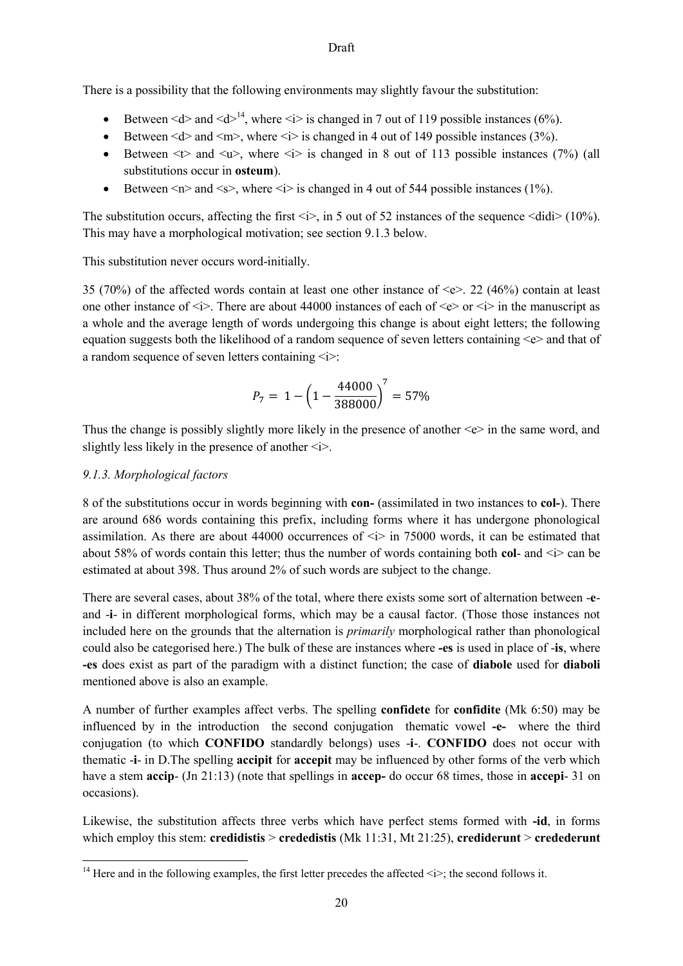There is a possibility that the following environments may slightly favour the substitution:

- Between  $\leq d$  and  $\leq d$ <sup>14</sup>, where  $\leq i$  is changed in 7 out of 119 possible instances (6%).
- Between  $\leq d$  and  $\leq m$ . where  $\leq i$  is changed in 4 out of 149 possible instances (3%).
- Between  $\leq$  and  $\leq$  where  $\leq$  is changed in 8 out of 113 possible instances (7%) (all substitutions occur in **osteum**).
- Between  $\leq n$  and  $\leq s$ , where  $\leq i$  is changed in 4 out of 544 possible instances (1%).

The substitution occurs, affecting the first  $\langle i \rangle$ , in 5 out of 52 instances of the sequence  $\langle \text{did} \rangle$  (10%). This may have a morphological motivation; see section 9.1.3 below.

This substitution never occurs word-initially.

35 (70%) of the affected words contain at least one other instance of <e>. 22 (46%) contain at least one other instance of  $\langle i \rangle$ . There are about 44000 instances of each of  $\langle e \rangle$  or  $\langle i \rangle$  in the manuscript as a whole and the average length of words undergoing this change is about eight letters; the following equation suggests both the likelihood of a random sequence of seven letters containing  $\leq e$  and that of a random sequence of seven letters containing  $\langle i \rangle$ :

$$
P_7 = 1 - \left(1 - \frac{44000}{388000}\right)^7 = 57\%
$$

Thus the change is possibly slightly more likely in the presence of another  $\leq e$  in the same word, and slightly less likely in the presence of another  $\langle i \rangle$ .

## *9.1.3. Morphological factors*

8 of the substitutions occur in words beginning with **con-** (assimilated in two instances to **col-**). There are around 686 words containing this prefix, including forms where it has undergone phonological assimilation. As there are about 44000 occurrences of <i> in 75000 words, it can be estimated that about 58% of words contain this letter; thus the number of words containing both **col**- and  $\langle i \rangle$  can be estimated at about 398. Thus around 2% of such words are subject to the change.

There are several cases, about 38% of the total, where there exists some sort of alternation between -**e**and -**i**- in different morphological forms, which may be a causal factor. (Those those instances not included here on the grounds that the alternation is *primarily* morphological rather than phonological could also be categorised here.) The bulk of these are instances where **-es** is used in place of -**is**, where **-es** does exist as part of the paradigm with a distinct function; the case of **diabole** used for **diaboli**  mentioned above is also an example.

A number of further examples affect verbs. The spelling **confidete** for **confidite** (Mk 6:50) may be influenced by in the introduction the second conjugation thematic vowel **-e-** where the third conjugation (to which **CONFIDO** standardly belongs) uses -**i**-. **CONFIDO** does not occur with thematic -**i**- in D.The spelling **accipit** for **accepit** may be influenced by other forms of the verb which have a stem **accip**- (Jn 21:13) (note that spellings in **accep-** do occur 68 times, those in **accepi**- 31 on occasions).

Likewise, the substitution affects three verbs which have perfect stems formed with **-id**, in forms which employ this stem: **credidistis** > **crededistis** (Mk 11:31, Mt 21:25), **crediderunt** > **credederunt**

**<sup>.</sup>** <sup>14</sup> Here and in the following examples, the first letter precedes the affected  $\langle i \rangle$ ; the second follows it.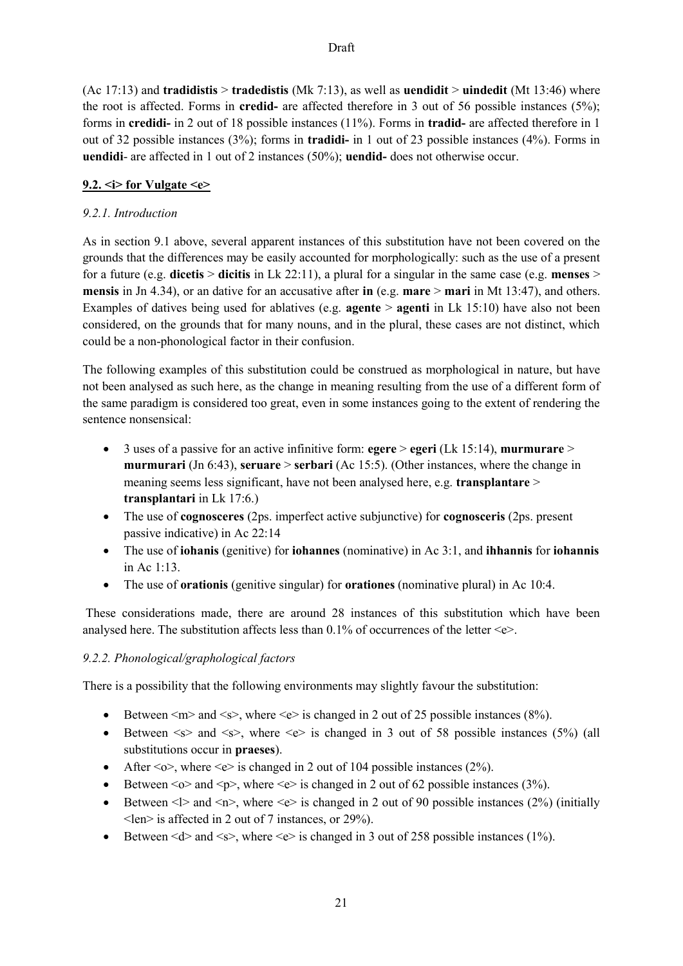(Ac 17:13) and **tradidistis** > **tradedistis** (Mk 7:13), as well as **uendidit** > **uindedit** (Mt 13:46) where the root is affected. Forms in **credid-** are affected therefore in 3 out of 56 possible instances (5%); forms in **credidi-** in 2 out of 18 possible instances (11%). Forms in **tradid-** are affected therefore in 1 out of 32 possible instances (3%); forms in **tradidi-** in 1 out of 23 possible instances (4%). Forms in **uendidi**- are affected in 1 out of 2 instances (50%); **uendid-** does not otherwise occur.

## **9.2. <i> for Vulgate <e>**

## *9.2.1. Introduction*

As in section 9.1 above, several apparent instances of this substitution have not been covered on the grounds that the differences may be easily accounted for morphologically: such as the use of a present for a future (e.g. **dicetis** > **dicitis** in Lk 22:11), a plural for a singular in the same case (e.g. **menses** > **mensis** in Jn 4.34), or an dative for an accusative after **in** (e.g. **mare** > **mari** in Mt 13:47), and others. Examples of datives being used for ablatives (e.g. **agente** > **agenti** in Lk 15:10) have also not been considered, on the grounds that for many nouns, and in the plural, these cases are not distinct, which could be a non-phonological factor in their confusion.

The following examples of this substitution could be construed as morphological in nature, but have not been analysed as such here, as the change in meaning resulting from the use of a different form of the same paradigm is considered too great, even in some instances going to the extent of rendering the sentence nonsensical:

- 3 uses of a passive for an active infinitive form: **egere** > **egeri** (Lk 15:14), **murmurare** > **murmurari** (Jn 6:43), **seruare** > **serbari** (Ac 15:5). (Other instances, where the change in meaning seems less significant, have not been analysed here, e.g. **transplantare** > **transplantari** in Lk 17:6.)
- The use of **cognosceres** (2ps. imperfect active subjunctive) for **cognosceris** (2ps. present passive indicative) in Ac 22:14
- The use of **iohanis** (genitive) for **iohannes** (nominative) in Ac 3:1, and **ihhannis** for **iohannis** in Ac  $1.13$ .
- The use of **orationis** (genitive singular) for **orationes** (nominative plural) in Ac 10:4.

These considerations made, there are around 28 instances of this substitution which have been analysed here. The substitution affects less than  $0.1\%$  of occurrences of the letter  $\leq \geq$ .

# *9.2.2. Phonological/graphological factors*

There is a possibility that the following environments may slightly favour the substitution:

- Between  $\leq m$  and  $\leq s$ , where  $\leq e$  is changed in 2 out of 25 possible instances (8%).
- Between  $\leq s$  and  $\leq s$ , where  $\leq e$  is changed in 3 out of 58 possible instances (5%) (all substitutions occur in **praeses**).
- After  $\langle 0 \rangle$ , where  $\langle e \rangle$  is changed in 2 out of 104 possible instances (2%).
- Between  $\leq o$  and  $\leq p$ , where  $\leq e$  is changed in 2 out of 62 possible instances (3%).
- Between  $\leq$  > and  $\leq$  n>, where  $\leq$  > is changed in 2 out of 90 possible instances (2%) (initially <len> is affected in 2 out of 7 instances, or 29%).
- Between  $\leq d$  and  $\leq s$ , where  $\leq e$  is changed in 3 out of 258 possible instances (1%).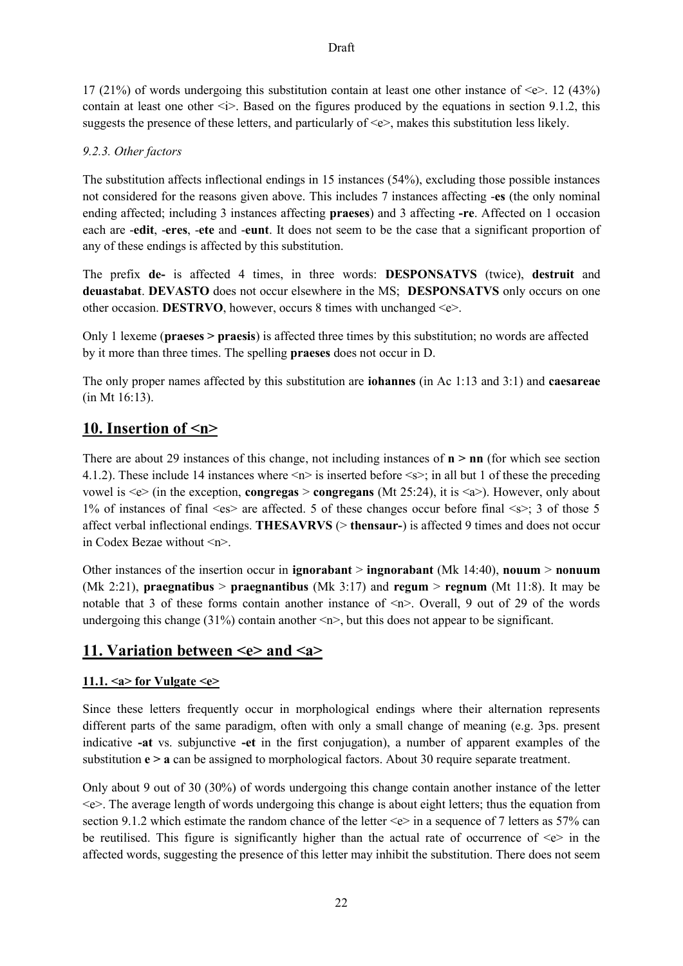17 (21%) of words undergoing this substitution contain at least one other instance of  $\leq e$ . 12 (43%) contain at least one other  $\leq i$ . Based on the figures produced by the equations in section 9.1.2, this suggests the presence of these letters, and particularly of  $\leq e$ , makes this substitution less likely.

# *9.2.3. Other factors*

The substitution affects inflectional endings in 15 instances (54%), excluding those possible instances not considered for the reasons given above. This includes 7 instances affecting -**es** (the only nominal ending affected; including 3 instances affecting **praeses**) and 3 affecting **-re**. Affected on 1 occasion each are -**edit**, -**eres**, -**ete** and -**eunt**. It does not seem to be the case that a significant proportion of any of these endings is affected by this substitution.

The prefix **de-** is affected 4 times, in three words: **DESPONSATVS** (twice), **destruit** and **deuastabat**. **DEVASTO** does not occur elsewhere in the MS; **DESPONSATVS** only occurs on one other occasion. **DESTRVO**, however, occurs 8 times with unchanged <e>.

Only 1 lexeme (**praeses > praesis**) is affected three times by this substitution; no words are affected by it more than three times. The spelling **praeses** does not occur in D.

The only proper names affected by this substitution are **iohannes** (in Ac 1:13 and 3:1) and **caesareae**  (in Mt 16:13).

# **10. Insertion of <n>**

There are about 29 instances of this change, not including instances of **n > nn** (for which see section 4.1.2). These include 14 instances where  $\langle n \rangle$  is inserted before  $\langle s \rangle$ ; in all but 1 of these the preceding vowel is  $\ll$  (in the exception, **congregas** > **congregans** (Mt 25:24), it is  $\ll$  a >). However, only about 1% of instances of final <es> are affected. 5 of these changes occur before final <s>; 3 of those 5 affect verbal inflectional endings. **THESAVRVS** (> **thensaur-**) is affected 9 times and does not occur in Codex Bezae without <n>.

Other instances of the insertion occur in **ignorabant** > **ingnorabant** (Mk 14:40), **nouum** > **nonuum** (Mk 2:21), **praegnatibus** > **praegnantibus** (Mk 3:17) and **regum** > **regnum** (Mt 11:8). It may be notable that 3 of these forms contain another instance of  $\langle n \rangle$ . Overall, 9 out of 29 of the words undergoing this change (31%) contain another  $\langle n \rangle$ , but this does not appear to be significant.

# **11. Variation between <e> and <a>**

# **11.1. <a> for Vulgate <e>**

Since these letters frequently occur in morphological endings where their alternation represents different parts of the same paradigm, often with only a small change of meaning (e.g. 3ps. present indicative **-at** vs. subjunctive **-et** in the first conjugation), a number of apparent examples of the substitution **e > a** can be assigned to morphological factors. About 30 require separate treatment.

Only about 9 out of 30 (30%) of words undergoing this change contain another instance of the letter  $\leq e$ . The average length of words undergoing this change is about eight letters; thus the equation from section 9.1.2 which estimate the random chance of the letter  $\ll$  in a sequence of 7 letters as 57% can be reutilised. This figure is significantly higher than the actual rate of occurrence of  $\ll\gg$  in the affected words, suggesting the presence of this letter may inhibit the substitution. There does not seem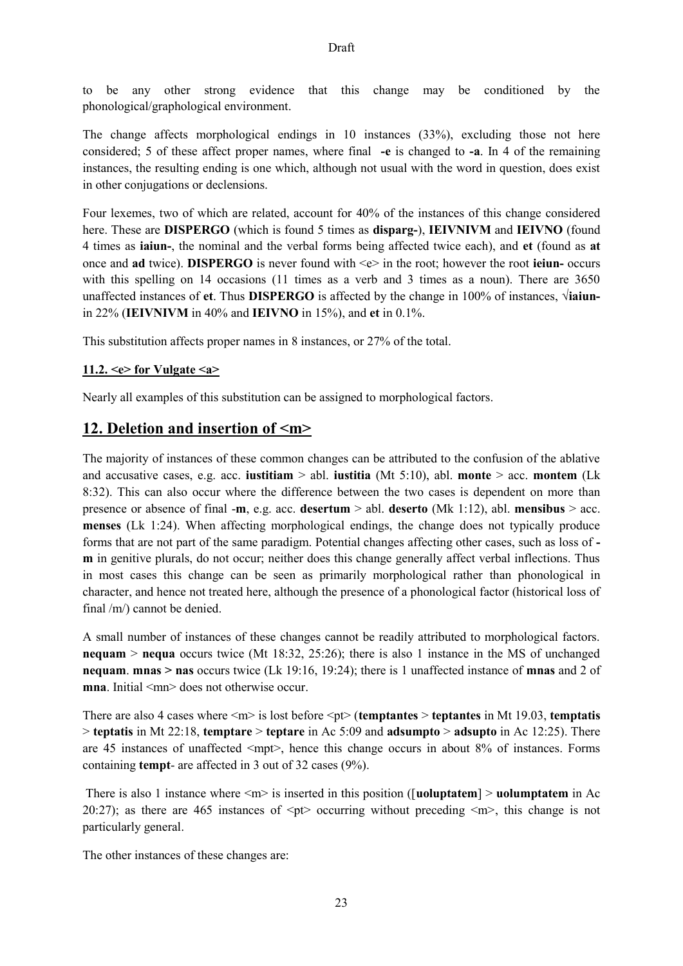to be any other strong evidence that this change may be conditioned by the phonological/graphological environment.

The change affects morphological endings in 10 instances (33%), excluding those not here considered; 5 of these affect proper names, where final **-e** is changed to **-a**. In 4 of the remaining instances, the resulting ending is one which, although not usual with the word in question, does exist in other conjugations or declensions.

Four lexemes, two of which are related, account for 40% of the instances of this change considered here. These are **DISPERGO** (which is found 5 times as **disparg-**), **IEIVNIVM** and **IEIVNO** (found 4 times as **iaiun-**, the nominal and the verbal forms being affected twice each), and **et** (found as **at**  once and **ad** twice). **DISPERGO** is never found with <e> in the root; however the root **ieiun-** occurs with this spelling on 14 occasions (11 times as a verb and 3 times as a noun). There are 3650 unaffected instances of **et**. Thus **DISPERGO** is affected by the change in 100% of instances, √**iaiun**in 22% (**IEIVNIVM** in 40% and **IEIVNO** in 15%), and **et** in 0.1%.

This substitution affects proper names in 8 instances, or 27% of the total.

#### **11.2. <e> for Vulgate <a>**

Nearly all examples of this substitution can be assigned to morphological factors.

# **12. Deletion and insertion of <m>**

The majority of instances of these common changes can be attributed to the confusion of the ablative and accusative cases, e.g. acc. **iustitiam** > abl. **iustitia** (Mt 5:10), abl. **monte** > acc. **montem** (Lk 8:32). This can also occur where the difference between the two cases is dependent on more than presence or absence of final -**m**, e.g. acc. **desertum** > abl. **deserto** (Mk 1:12), abl. **mensibus** > acc. **menses** (Lk 1:24). When affecting morphological endings, the change does not typically produce forms that are not part of the same paradigm. Potential changes affecting other cases, such as loss of  **m** in genitive plurals, do not occur; neither does this change generally affect verbal inflections. Thus in most cases this change can be seen as primarily morphological rather than phonological in character, and hence not treated here, although the presence of a phonological factor (historical loss of final /m/) cannot be denied.

A small number of instances of these changes cannot be readily attributed to morphological factors. **nequam** > **nequa** occurs twice (Mt 18:32, 25:26); there is also 1 instance in the MS of unchanged **nequam**. **mnas > nas** occurs twice (Lk 19:16, 19:24); there is 1 unaffected instance of **mnas** and 2 of **mna**. Initial  $\leq mn$  does not otherwise occur.

There are also 4 cases where  $\langle m \rangle$  is lost before  $\langle pt \rangle$  (**temptantes**  $>$  **teptantes** in Mt 19.03, **temptatis** > **teptatis** in Mt 22:18, **temptare** > **teptare** in Ac 5:09 and **adsumpto** > **adsupto** in Ac 12:25). There are 45 instances of unaffected  $\langle \text{mp+}\rangle$ , hence this change occurs in about 8% of instances. Forms containing **tempt**- are affected in 3 out of 32 cases (9%).

There is also 1 instance where  $\leq m$  is inserted in this position ([**uoluptatem**]  $>$  **uolumptatem** in Ac 20:27); as there are 465 instances of  $\leq pt$  occurring without preceding  $\leq m$ , this change is not particularly general.

The other instances of these changes are: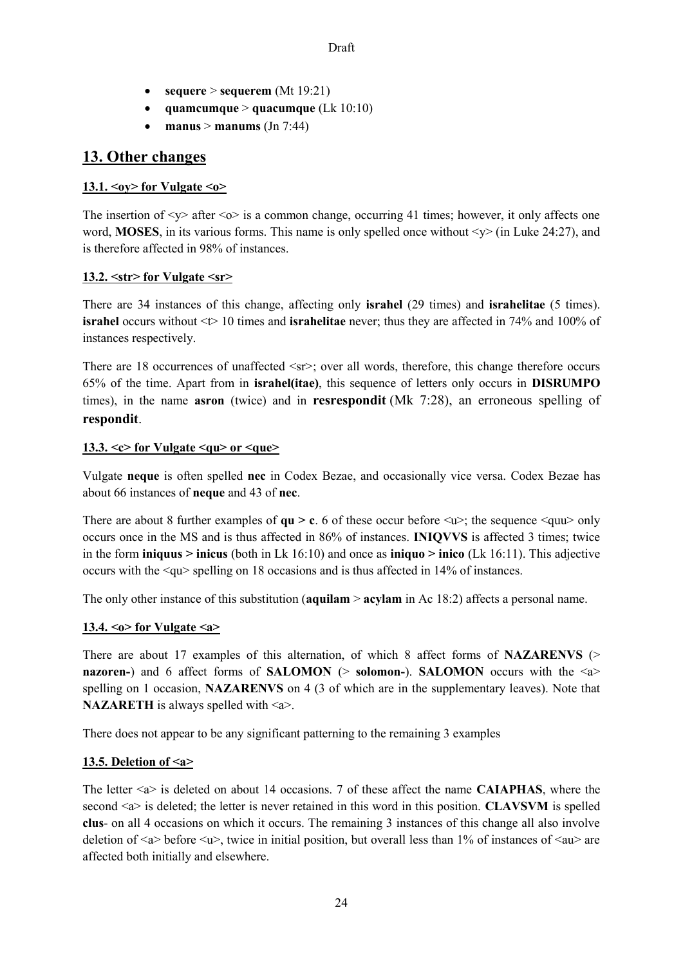- **•**  $sequence > sequence(mt 19:21)$
- **quamcumque** > **quacumque** (Lk 10:10)
- **manus**  $>$  **manums** (Jn 7:44)

# **13. Other changes**

# **13.1. <oy> for Vulgate <o>**

The insertion of  $\langle v \rangle$  after  $\langle \circ \rangle$  is a common change, occurring 41 times; however, it only affects one word, **MOSES**, in its various forms. This name is only spelled once without  $\langle \psi \rangle$  (in Luke 24:27), and is therefore affected in 98% of instances.

# **13.2. <str> for Vulgate <sr>**

There are 34 instances of this change, affecting only **israhel** (29 times) and **israhelitae** (5 times). **israhel** occurs without  $\leq$  10 times and **israhelitae** never; thus they are affected in 74% and 100% of instances respectively.

There are 18 occurrences of unaffected  $\langle srs \rangle$ ; over all words, therefore, this change therefore occurs 65% of the time. Apart from in **israhel(itae)**, this sequence of letters only occurs in **DISRUMPO** times), in the name **asron** (twice) and in **resrespondit** (Mk 7:28), an erroneous spelling of **respondit**.

## **13.3. <c> for Vulgate <qu> or <que>**

Vulgate **neque** is often spelled **nec** in Codex Bezae, and occasionally vice versa. Codex Bezae has about 66 instances of **neque** and 43 of **nec**.

There are about 8 further examples of  $qu > c$ . 6 of these occur before  $\langle u \rangle$ ; the sequence  $\langle quu \rangle$  only occurs once in the MS and is thus affected in 86% of instances. **INIQVVS** is affected 3 times; twice in the form **iniquus > inicus** (both in Lk 16:10) and once as **iniquo > inico** (Lk 16:11). This adjective occurs with the <qu> spelling on 18 occasions and is thus affected in 14% of instances.

The only other instance of this substitution (**aquilam** > **acylam** in Ac 18:2) affects a personal name.

## **13.4. <o> for Vulgate <a>**

There are about 17 examples of this alternation, of which 8 affect forms of **NAZARENVS** (> **nazoren-**) and 6 affect forms of **SALOMON**  $(>$  **solomon-**). **SALOMON** occurs with the  $\le a$ spelling on 1 occasion, **NAZARENVS** on 4 (3 of which are in the supplementary leaves). Note that **NAZARETH** is always spelled with  $\leq a$ .

There does not appear to be any significant patterning to the remaining 3 examples

## **13.5. Deletion of <a>**

The letter <a> is deleted on about 14 occasions. 7 of these affect the name **CAIAPHAS**, where the second <a> is deleted; the letter is never retained in this word in this position. **CLAVSVM** is spelled **clus**- on all 4 occasions on which it occurs. The remaining 3 instances of this change all also involve deletion of  $\langle a \rangle$  before  $\langle u \rangle$ , twice in initial position, but overall less than 1% of instances of  $\langle au \rangle$  are affected both initially and elsewhere.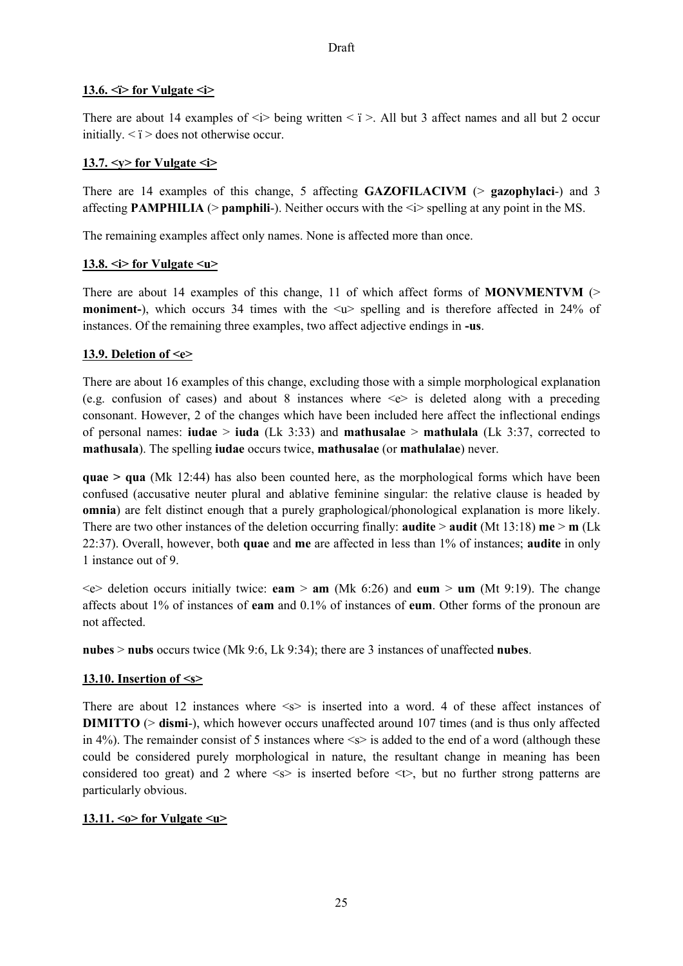#### 13.6.  $\leq$  > for Vulgate  $\leq$  >

There are about 14 examples of  $\leq i$  being written  $\leq i$  >. All but 3 affect names and all but 2 occur initially.  $\leq i$  > does not otherwise occur.

#### 13.7.  $\langle y \rangle$  for Vulgate  $\langle i \rangle$

There are 14 examples of this change, 5 affecting **GAZOFILACIVM** (> **gazophylaci**-) and 3 affecting **PAMPHILIA** ( $>$ **pamphili**-). Neither occurs with the  $\leq i$  spelling at any point in the MS.

The remaining examples affect only names. None is affected more than once.

#### 13.8.  $\leq$  > for Vulgate  $\leq$ u $\geq$

There are about 14 examples of this change, 11 of which affect forms of **MONVMENTVM** (> **moniment-**), which occurs 34 times with the  $\langle u \rangle$  spelling and is therefore affected in 24% of instances. Of the remaining three examples, two affect adjective endings in **-us**.

#### **13.9. Deletion of <e>**

There are about 16 examples of this change, excluding those with a simple morphological explanation (e.g. confusion of cases) and about 8 instances where  $\leq e$  is deleted along with a preceding consonant. However, 2 of the changes which have been included here affect the inflectional endings of personal names: **iudae** > **iuda** (Lk 3:33) and **mathusalae** > **mathulala** (Lk 3:37, corrected to **mathusala**). The spelling **iudae** occurs twice, **mathusalae** (or **mathulalae**) never.

**quae > qua** (Mk 12:44) has also been counted here, as the morphological forms which have been confused (accusative neuter plural and ablative feminine singular: the relative clause is headed by **omnia**) are felt distinct enough that a purely graphological/phonological explanation is more likely. There are two other instances of the deletion occurring finally: **audite > audit** (Mt 13:18) **me > m** (Lk 22:37). Overall, however, both **quae** and **me** are affected in less than 1% of instances; **audite** in only 1 instance out of 9.

<e> deletion occurs initially twice: **eam** > **am** (Mk 6:26) and **eum** > **um** (Mt 9:19). The change affects about 1% of instances of **eam** and 0.1% of instances of **eum**. Other forms of the pronoun are not affected.

**nubes** > **nubs** occurs twice (Mk 9:6, Lk 9:34); there are 3 instances of unaffected **nubes**.

## **13.10. Insertion of <s>**

There are about 12 instances where  $\leq$  is inserted into a word. 4 of these affect instances of **DIMITTO** ( $>$  **dismi**-), which however occurs unaffected around 107 times (and is thus only affected in 4%). The remainder consist of 5 instances where  $\le$  is added to the end of a word (although these could be considered purely morphological in nature, the resultant change in meaning has been considered too great) and 2 where  $\leq s$  is inserted before  $\leq t$ , but no further strong patterns are particularly obvious.

## **13.11. <o> for Vulgate <u>**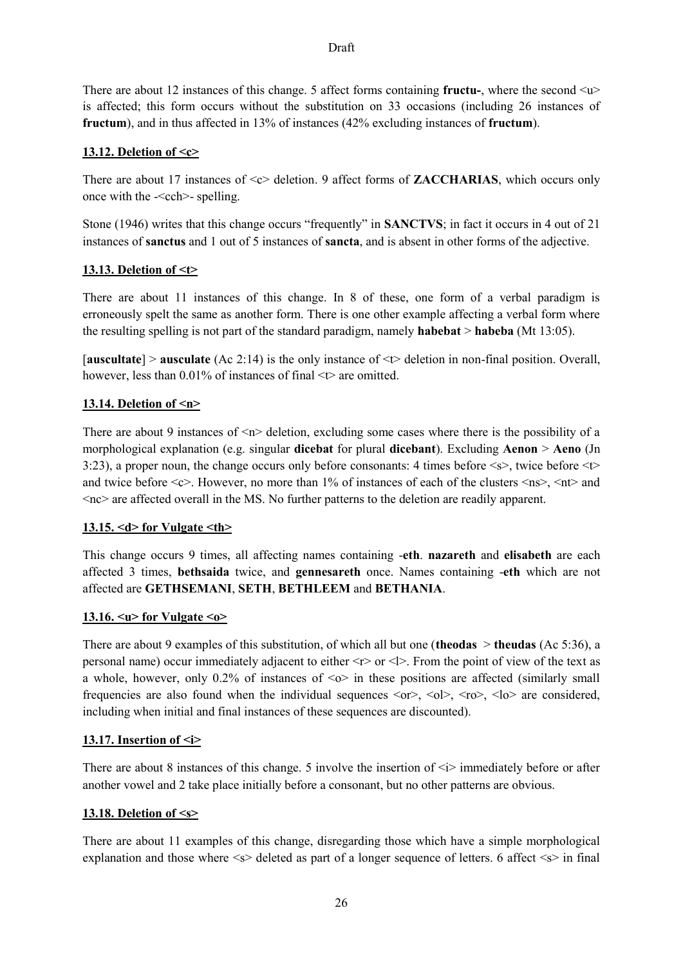There are about 12 instances of this change. 5 affect forms containing **fructu-**, where the second <u> is affected; this form occurs without the substitution on 33 occasions (including 26 instances of **fructum**), and in thus affected in 13% of instances (42% excluding instances of **fructum**).

## **13.12. Deletion of <c>**

There are about 17 instances of  $\ll$  deletion. 9 affect forms of **ZACCHARIAS**, which occurs only once with the  $-\text{cch}$  -spelling.

Stone (1946) writes that this change occurs "frequently" in **SANCTVS**; in fact it occurs in 4 out of 21 instances of **sanctus** and 1 out of 5 instances of **sancta**, and is absent in other forms of the adjective.

## **13.13. Deletion of <t>**

There are about 11 instances of this change. In 8 of these, one form of a verbal paradigm is erroneously spelt the same as another form. There is one other example affecting a verbal form where the resulting spelling is not part of the standard paradigm, namely **habebat** > **habeba** (Mt 13:05).

[**auscultate**] > **ausculate** (Ac 2:14) is the only instance of <t> deletion in non-final position. Overall, however, less than 0.01% of instances of final  $\leq$  are omitted.

# **13.14. Deletion of <n>**

There are about 9 instances of  $\langle n \rangle$  deletion, excluding some cases where there is the possibility of a morphological explanation (e.g. singular **dicebat** for plural **dicebant**). Excluding **Aenon** > **Aeno** (Jn 3:23), a proper noun, the change occurs only before consonants: 4 times before  $\leq$ s>, twice before  $\leq$ t> and twice before  $\langle c \rangle$ . However, no more than 1% of instances of each of the clusters  $\langle ns \rangle$ ,  $\langle nt \rangle$  and  $<$ nc $>$  are affected overall in the MS. No further patterns to the deletion are readily apparent.

## **13.15. <d> for Vulgate <th>**

This change occurs 9 times, all affecting names containing -**eth**. **nazareth** and **elisabeth** are each affected 3 times, **bethsaida** twice, and **gennesareth** once. Names containing -**eth** which are not affected are **GETHSEMANI**, **SETH**, **BETHLEEM** and **BETHANIA**.

## **13.16. <u> for Vulgate <o>**

There are about 9 examples of this substitution, of which all but one (**theodas** > **theudas** (Ac 5:36), a personal name) occur immediately adjacent to either <r> or <l>. From the point of view of the text as a whole, however, only 0.2% of instances of  $\leq o$  in these positions are affected (similarly small frequencies are also found when the individual sequences  $\langle \text{or} \rangle$ ,  $\langle \text{or} \rangle$ ,  $\langle \text{do} \rangle$  are considered, including when initial and final instances of these sequences are discounted).

## **13.17. Insertion of <i>**

There are about 8 instances of this change. 5 involve the insertion of  $\leq i$  immediately before or after another vowel and 2 take place initially before a consonant, but no other patterns are obvious.

## **13.18. Deletion of <s>**

There are about 11 examples of this change, disregarding those which have a simple morphological explanation and those where  $\leq s$  deleted as part of a longer sequence of letters. 6 affect  $\leq s$  in final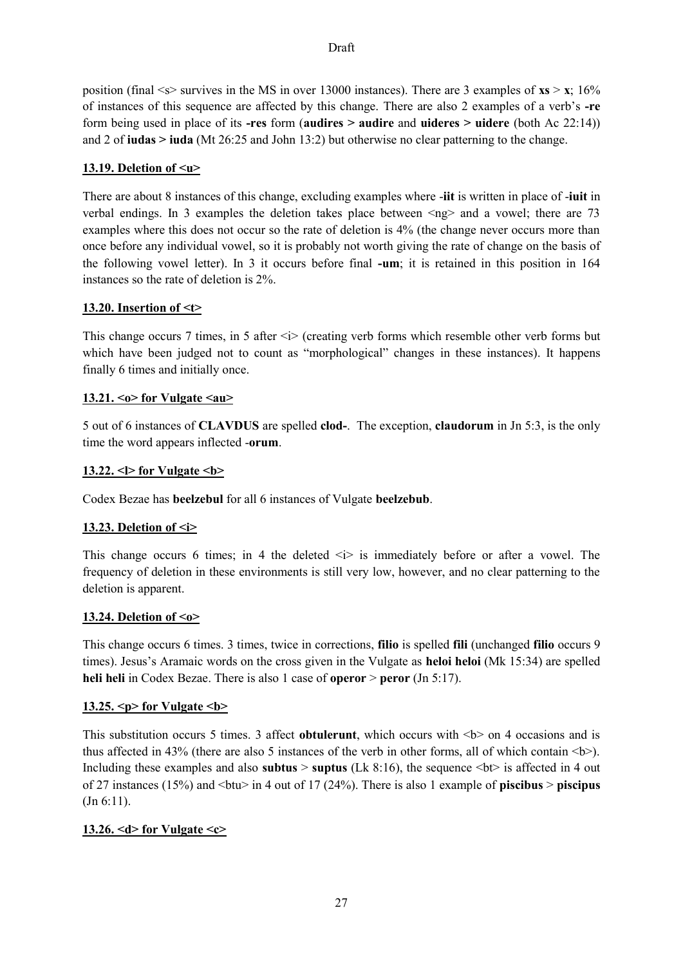position (final  $\leq$  > survives in the MS in over 13000 instances). There are 3 examples of **xs** > **x**; 16% of instances of this sequence are affected by this change. There are also 2 examples of a verb's **-re**  form being used in place of its **-res** form (**audires > audire** and **uideres > uidere** (both Ac 22:14)) and 2 of **iudas > iuda** (Mt 26:25 and John 13:2) but otherwise no clear patterning to the change.

## 13.19. Deletion of</u> <u>

There are about 8 instances of this change, excluding examples where -**iit** is written in place of -**iuit** in verbal endings. In 3 examples the deletion takes place between  $\langle$ ng $\rangle$  and a vowel; there are 73 examples where this does not occur so the rate of deletion is 4% (the change never occurs more than once before any individual vowel, so it is probably not worth giving the rate of change on the basis of the following vowel letter). In 3 it occurs before final **-um**; it is retained in this position in 164 instances so the rate of deletion is 2%.

#### **13.20. Insertion of <t>**

This change occurs 7 times, in 5 after  $\langle i \rangle$  (creating verb forms which resemble other verb forms but which have been judged not to count as "morphological" changes in these instances). It happens finally 6 times and initially once.

#### **13.21. <o> for Vulgate <au>**

5 out of 6 instances of **CLAVDUS** are spelled **clod-**. The exception, **claudorum** in Jn 5:3, is the only time the word appears inflected -**orum**.

#### **13.22. <l> for Vulgate <b>**

Codex Bezae has **beelzebul** for all 6 instances of Vulgate **beelzebub**.

## **13.23. Deletion of <i>**

This change occurs 6 times; in 4 the deleted  $\langle i \rangle$  is immediately before or after a vowel. The frequency of deletion in these environments is still very low, however, and no clear patterning to the deletion is apparent.

#### **13.24. Deletion of <o>**

This change occurs 6 times. 3 times, twice in corrections, **filio** is spelled **fili** (unchanged **filio** occurs 9 times). Jesus's Aramaic words on the cross given in the Vulgate as **heloi heloi** (Mk 15:34) are spelled **heli heli** in Codex Bezae. There is also 1 case of **operor** > **peror** (Jn 5:17).

## **13.25. <p> for Vulgate <b>**

This substitution occurs 5 times. 3 affect **obtulerunt**, which occurs with  $\langle b \rangle$  on 4 occasions and is thus affected in 43% (there are also 5 instances of the verb in other forms, all of which contain  $\langle b \rangle$ ). Including these examples and also **subtus**  $>$  **suptus** (Lk 8:16), the sequence  $<$  bt $>$  is affected in 4 out of 27 instances (15%) and <btu> in 4 out of 17 (24%). There is also 1 example of **piscibus** > **piscipus** (Jn 6:11).

## **13.26. <d> for Vulgate <c>**